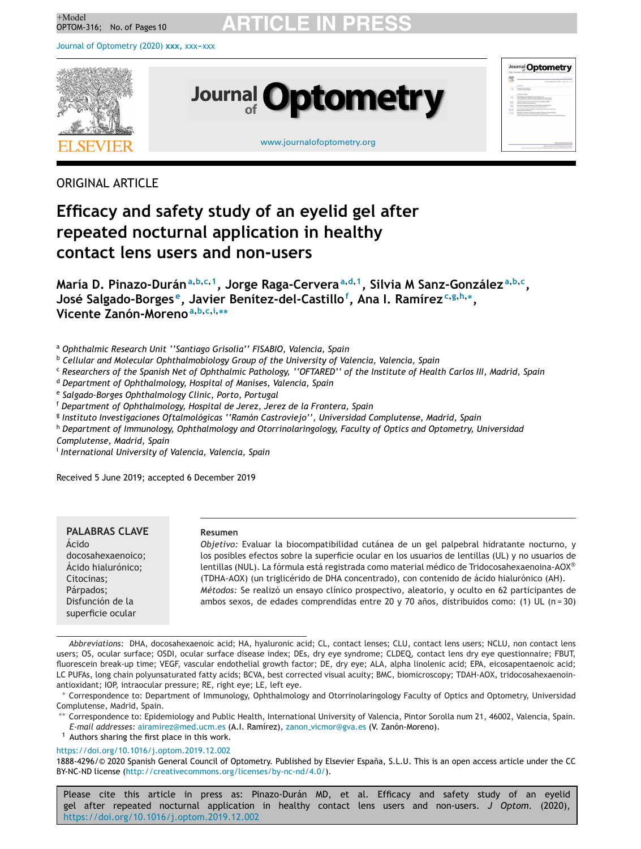Journal of [Optometry](https://doi.org/10.1016/j.optom.2019.12.002) (2020) xxx, xxx-xxx



ORIGINAL ARTICLE

## **Efficacy and safety study of an eyelid gel after repeated nocturnal application in healthy contact lens users and non-users**

María D. Pinazo-Durán<sup>a, b, c, 1</sup>, Jorge Raga-Cervera<sup>a, d, 1</sup>, Silvia M Sanz-González<sup>a, b, c</sup>, **José Salgado-Borges e, Javier Benítez-del-Castillo<sup>f</sup> , Ana I. Ramírez<sup>c</sup>,g,h,∗, Vicente Zanón-Moreno<sup>a</sup>,b,c,i,∗∗**

<sup>a</sup> *Ophthalmic Research Unit ''Santiago Grisolía'' FISABIO, Valencia, Spain*

<sup>b</sup> *Cellular and Molecular Ophthalmobiology Group of the University of Valencia, Valencia, Spain*

<sup>c</sup> Researchers of the Spanish Net of Ophthalmic Pathology, "OFTARED" of the Institute of Health Carlos III, Madrid, Spain

<sup>d</sup> *Department of Ophthalmology, Hospital of Manises, Valencia, Spain*

<sup>e</sup> *Salgado-Borges Ophthalmology Clinic, Porto, Portugal*

<sup>f</sup> *Department of Ophthalmology, Hospital de Jerez, Jerez de la Frontera, Spain*

<sup>g</sup> *Instituto Investigaciones Oftalmológicas ''Ramón Castroviejo'', Universidad Complutense, Madrid, Spain*

<sup>h</sup> *Department of Immunology, Ophthalmology and Otorrinolaringology, Faculty of Optics and Optometry, Universidad*

*Complutense, Madrid, Spain*

<sup>i</sup> *International University of Valencia, Valencia, Spain*

Received 5 June 2019; accepted 6 December 2019

**PALABRAS** CLAVE Ácido docosahexaenoico; Ácido hialurónico; Citocinas; Párpados; Disfunción de la superficie ocular

### **Resumen**

*Objetivo:* Evaluar la biocompatibilidad cutánea de un gel palpebral hidratante nocturno, y los posibles efectos sobre la superficie ocular en los usuarios de lentillas (UL) y no usuarios de lentillas (NUL). La fórmula está registrada como material médico de Tridocosahexaenoina-AOX® (TDHA-AOX) (un triglicérido de DHA concentrado), con contenido de ácido hialurónico (AH). *Métodos:* Se realizó un ensayo clínico prospectivo, aleatorio, y oculto en 62 participantes de ambos sexos, de edades comprendidas entre 20 y 70 años, distribuidos como: (1) UL (n = 30)

∗∗ Correspondence to: Epidemiology and Public Health, International University of Valencia, Pintor Sorolla num 21, 46002, Valencia, Spain. *E-mail addresses:* [airamirez@med.ucm.es](mailto:airamirez@med.ucm.es) (A.I. Ramírez), zanon [vicmor@gva.e](mailto:zanon_vicmor@gva.es)s (V. Zanón-Moreno).

 $1$  Authors sharing the first place in this work.

<https://doi.org/10.1016/j.optom.2019.12.002>

1888-4296/© 2020 Spanish General Council of Optometry. Published by Elsevier España, S.L.U. This is an open access article under the CC BY-NC-ND license (<http://creativecommons.org/licenses/by-nc-nd/4.0/>).

*Abbreviations:* DHA, docosahexaenoic acid; HA, hyaluronic acid; CL, contact lenses; CLU, contact lens users; NCLU, non contact lens users; OS, ocular surface; OSDI, ocular surface disease index; DEs, dry eye syndrome; CLDEQ, contact lens dry eye questionnaire; FBUT, fluorescein break-up time; VEGF, vascular endothelial growth factor; DE, dry eye; ALA, alpha linolenic acid; EPA, eicosapentaenoic acid; LC PUFAs, long chain polyunsaturated fatty acids; BCVA, best corrected visual acuity; BMC, biomicroscopy; TDAH-AOX, tridocosahexaenoinantioxidant; IOP, intraocular pressure; RE, right eye; LE, left eye.

<sup>∗</sup> Correspondence to: Department of Immunology, Ophthalmology and Otorrinolaringology Faculty of Optics and Optometry, Universidad Complutense, Madrid, Spain.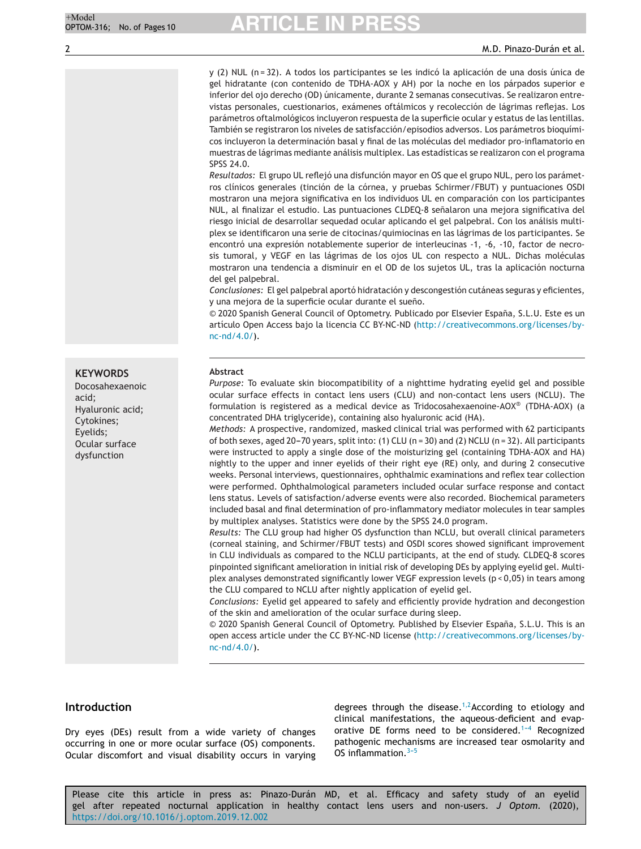y (2) NUL (n = 32). A todos los participantes se les indicó la aplicación de una dosis única de gel hidratante (con contenido de TDHA-AOX y AH) por la noche en los párpados superior e inferior del ojo derecho (OD) únicamente, durante 2 semanas consecutivas. Se realizaron entrevistas personales, cuestionarios, exámenes oftálmicos y recolección de lágrimas reflejas. Los parámetros oftalmológicos incluyeron respuesta de la superficie ocular y estatus de las lentillas. También se registraron los niveles de satisfacción/episodios adversos. Los parámetros bioquímicos incluyeron la determinación basal y final de las moléculas del mediador pro-inflamatorio en muestras de lágrimas mediante análisis multiplex. Las estadísticas se realizaron con el programa SPSS 24.0.

*Resultados:* El grupo UL reflejó una disfunción mayor en OS que el grupo NUL, pero los parámetros clínicos generales (tinción de la córnea, y pruebas Schirmer/FBUT) y puntuaciones OSDI mostraron una mejora significativa en los individuos UL en comparación con los participantes NUL, al finalizar el estudio. Las puntuaciones CLDEQ-8 señalaron una mejora significativa del riesgo inicial de desarrollar sequedad ocular aplicando el gel palpebral. Con los análisis multiplex se identificaron una serie de citocinas/quimiocinas en las lágrimas de los participantes. Se encontró una expresión notablemente superior de interleucinas -1, -6, -10, factor de necrosis tumoral, y VEGF en las lágrimas de los ojos UL con respecto a NUL. Dichas moléculas mostraron una tendencia a disminuir en el OD de los sujetos UL, tras la aplicación nocturna del gel palpebral.

*Conclusiones:* El gel palpebral aportó hidratación y descongestión cutáneas seguras y eficientes, y una mejora de la superficie ocular durante el sueño.

© 2020 Spanish General Council of Optometry. Publicado por Elsevier España, S.L.U. Este es un artículo Open Access bajo la licencia CC BY-NC-ND ([http://creativecommons.org/licenses/by](http://creativecommons.org/licenses/by-nc-nd/4.0/)[nc-nd/4.0/\)](http://creativecommons.org/licenses/by-nc-nd/4.0/).

### **Abstract**

*Purpose:* To evaluate skin biocompatibility of a nighttime hydrating eyelid gel and possible ocular surface effects in contact lens users (CLU) and non-contact lens users (NCLU). The formulation is registered as a medical device as Tridocosahexaenoine-AOX® (TDHA-AOX) (a concentrated DHA triglyceride), containing also hyaluronic acid (HA).

*Methods:* A prospective, randomized, masked clinical trial was performed with 62 participants of both sexes, aged 20-70 years, split into: (1) CLU (n = 30) and (2) NCLU (n = 32). All participants were instructed to apply a single dose of the moisturizing gel (containing TDHA-AOX and HA) nightly to the upper and inner eyelids of their right eye (RE) only, and during 2 consecutive weeks. Personal interviews, questionnaires, ophthalmic examinations and reflex tear collection were performed. Ophthalmological parameters included ocular surface response and contact lens status. Levels of satisfaction/adverse events were also recorded. Biochemical parameters included basal and final determination of pro-inflammatory mediator molecules in tear samples by multiplex analyses. Statistics were done by the SPSS 24.0 program.

*Results:* The CLU group had higher OS dysfunction than NCLU, but overall clinical parameters (corneal staining, and Schirmer/FBUT tests) and OSDI scores showed significant improvement in CLU individuals as compared to the NCLU participants, at the end of study. CLDEQ-8 scores pinpointed significant amelioration in initial risk of developing DEs by applying eyelid gel. Multiplex analyses demonstrated significantly lower VEGF expression levels (p < 0,05) in tears among the CLU compared to NCLU after nightly application of eyelid gel.

*Conclusions:* Eyelid gel appeared to safely and efficiently provide hydration and decongestion of the skin and amelioration of the ocular surface during sleep.

© 2020 Spanish General Council of Optometry. Published by Elsevier Espana, ˜ S.L.U. This is an open access article under the CC BY-NC-ND license ([http://creativecommons.org/licenses/by](http://creativecommons.org/licenses/by-nc-nd/4.0/)[nc-nd/4.0/\)](http://creativecommons.org/licenses/by-nc-nd/4.0/).

### **Introduction**

Dry eyes (DEs) result from a wide variety of changes occurring in one or more ocular surface (OS) components. Ocular discomfort and visual disability occurs in varying degrees through the disease.<sup>1,2</sup>According to etiology and clinical manifestations, the aqueous-deficient and evaporative DE forms need to be considered.<sup>1-4</sup> Recognized pathogenic mechanisms are increased tear osmolarity and OS inflammation. $3-5$ 

Please cite this article in press as: Pinazo-Durán MD, et al. Efficacy and safety study of an eyelid gel after repeated nocturnal application in healthy contact lens users and non-users. *J Optom.* (2020), <https://doi.org/10.1016/j.optom.2019.12.002>

**KEYWORDS**

Docosahexaenoic acid; Hyaluronic acid; Cytokines; Eyelids; Ocular surface dysfunction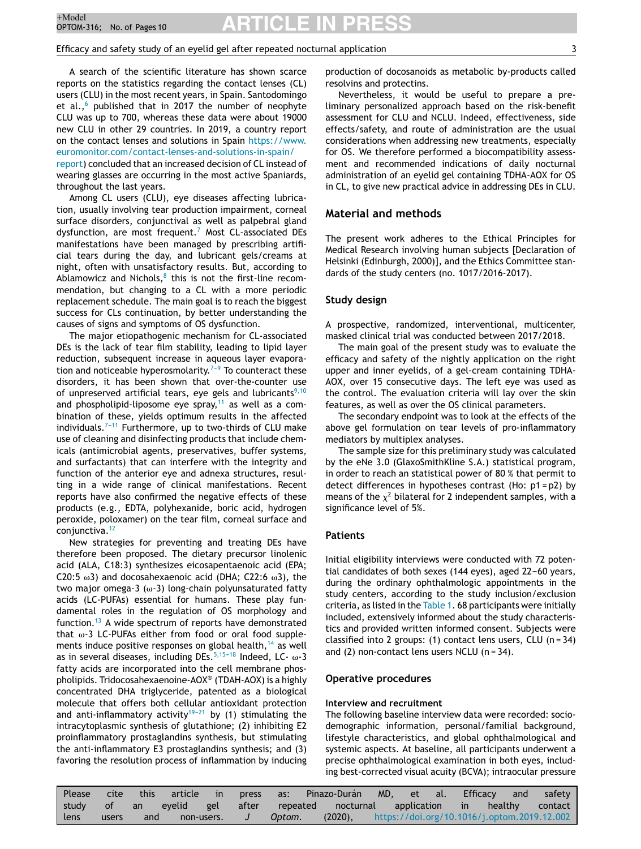## Efficacy and safety study of an eyelid gel after repeated nocturnal application 3

A search of the scientific literature has shown scarce reports on the statistics regarding the contact lenses (CL) users (CLU) in the most recent years, in Spain. Santodomingo et al., $6$  published that in 2017 the number of neophyte CLU was up to 700, whereas these data were about 19000 new CLU in other 29 countries. In 2019, a country report on the contact lenses and solutions in Spain [https://www.](https://www.euromonitor.com/contact-lenses-and-solutions-in-spain/report) [euromonitor.com/contact-lenses-and-solutions-in-spain/](https://www.euromonitor.com/contact-lenses-and-solutions-in-spain/report) [report\)](https://www.euromonitor.com/contact-lenses-and-solutions-in-spain/report) concluded that an increased decision of CL instead of wearing glasses are occurring in the most active Spaniards,

throughout the last years. Among CL users (CLU), eye diseases affecting lubrication, usually involving tear production impairment, corneal surface disorders, conjunctival as well as palpebral gland dysfunction, are most frequent.<sup>[7](#page-8-0)</sup> Most CL-associated DEs manifestations have been managed by prescribing artificial tears during the day, and lubricant gels/creams at night, often with unsatisfactory results. But, according to Ablamowicz and Nichols, $8$  this is not the first-line recommendation, but changing to a CL with a more periodic replacement schedule. The main goal is to reach the biggest success for CLs continuation, by better understanding the causes of signs and symptoms of OS dysfunction.

The major etiopathogenic mechanism for CL-associated DEs is the lack of tear film stability, leading to lipid layer reduction, subsequent increase in aqueous layer evaporation and noticeable hyperosmolarity.<sup> $7-9$ </sup> To counteract these disorders, it has been shown that over-the-counter use of unpreserved artificial tears, eye gels and lubricants<sup>[9,10](#page-8-0)</sup> and phospholipid-liposome eye spray, $11$  as well as a combination of these, yields optimum results in the affected individuals. $7-11$  Furthermore, up to two-thirds of CLU make use of cleaning and disinfecting products that include chemicals (antimicrobial agents, preservatives, buffer systems, and surfactants) that can interfere with the integrity and function of the anterior eye and adnexa structures, resulting in a wide range of clinical manifestations. Recent reports have also confirmed the negative effects of these products (e.g., EDTA, polyhexanide, boric acid, hydrogen peroxide, poloxamer) on the tear film, corneal surface and conjunctiva.<sup>[12](#page-8-0)</sup>

New strategies for preventing and treating DEs have therefore been proposed. The dietary precursor linolenic acid (ALA, C18:3) synthesizes eicosapentaenoic acid (EPA; C20:5 ω3) and docosahexaenoic acid (DHA; C22:6 ω3), the two major omega-3 (ω-3) long-chain polyunsaturated fatty acids (LC-PUFAs) essential for humans. These play fundamental roles in the regulation of OS morphology and function. $13$  A wide spectrum of reports have demonstrated that  $\omega$ -3 LC-PUFAs either from food or oral food supplements induce positive responses on global health, $14$  as well as in several diseases, including DEs. $^{5,15-18}$  Indeed, LC-  $\omega$ -3 fatty acids are incorporated into the cell membrane phospholipids. Tridocosahexaenoine-AOX® (TDAH-AOX) is a highly concentrated DHA triglyceride, patented as a biological molecule that offers both cellular antioxidant protection and anti-inflammatory activity<sup>19-21</sup> by (1) stimulating the intracytoplasmic synthesis of glutathione; (2) inhibiting E2 proinflammatory prostaglandins synthesis, but stimulating the anti-inflammatory E3 prostaglandins synthesis; and (3) favoring the resolution process of inflammation by inducing production of docosanoids as metabolic by-products called resolvins and protectins.

Nevertheless, it would be useful to prepare a preliminary personalized approach based on the risk-benefit assessment for CLU and NCLU. Indeed, effectiveness, side effects/safety, and route of administration are the usual considerations when addressing new treatments, especially for OS. We therefore performed a biocompatibility assessment and recommended indications of daily nocturnal administration of an eyelid gel containing TDHA-AOX for OS in CL, to give new practical advice in addressing DEs in CLU.

### **Material and methods**

The present work adheres to the Ethical Principles for Medical Research involving human subjects [Declaration of Helsinki (Edinburgh, 2000)], and the Ethics Committee standards of the study centers (no. 1017/2016-2017).

#### **Study design**

A prospective, randomized, interventional, multicenter, masked clinical trial was conducted between 2017/2018.

The main goal of the present study was to evaluate the efficacy and safety of the nightly application on the right upper and inner eyelids, of a gel-cream containing TDHA-AOX, over 15 consecutive days. The left eye was used as the control. The evaluation criteria will lay over the skin features, as well as over the OS clinical parameters.

The secondary endpoint was to look at the effects of the above gel formulation on tear levels of pro-inflammatory mediators by multiplex analyses.

The sample size for this preliminary study was calculated by the eNe 3.0 (GlaxoSmithKline S.A.) statistical program, in order to reach an statistical power of 80 % that permit to detect differences in hypotheses contrast (Ho: p1 = p2) by means of the  $\chi^2$  bilateral for 2 independent samples, with a significance level of 5%.

### **Patients**

Initial eligibility interviews were conducted with 72 potential candidates of both sexes (144 eyes), aged 22-60 years, during the ordinary ophthalmologic appointments in the study centers, according to the study inclusion/exclusion criteria, as listed in the [Table](#page-3-0) 1. 68 participants were initially included, extensively informed about the study characteristics and provided written informed consent. Subjects were classified into 2 groups: (1) contact lens users, CLU (n = 34) and  $(2)$  non-contact lens users NCLU  $(n = 34)$ .

#### **Operative procedures**

#### **Interview and recruitment**

The following baseline interview data were recorded: sociodemographic information, personal/familial background, lifestyle characteristics, and global ophthalmological and systemic aspects. At baseline, all participants underwent a precise ophthalmological examination in both eyes, including best-corrected visual acuity (BCVA); intraocular pressure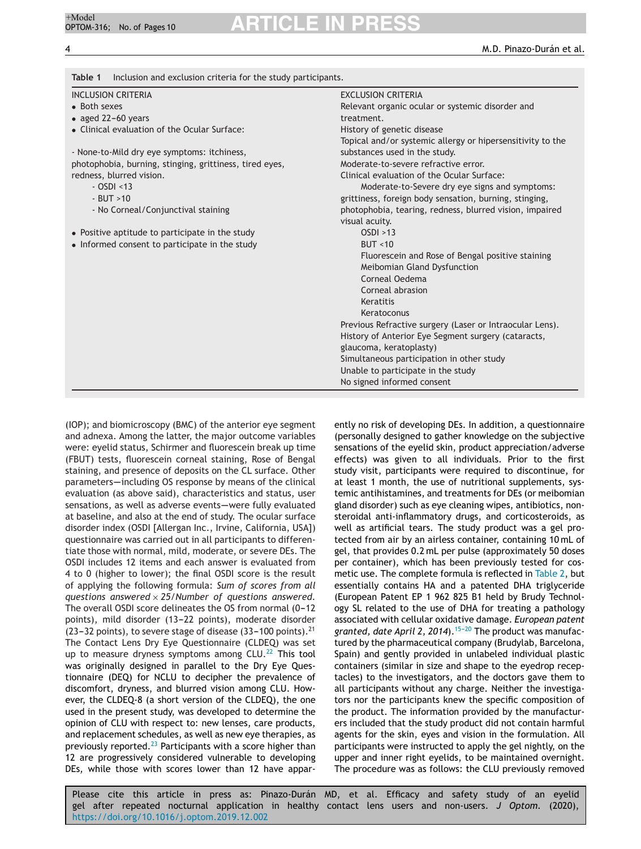<span id="page-3-0"></span>

| <b>INCLUSION CRITERIA</b>                               | <b>EXCLUSION CRITERIA</b>                                  |  |  |
|---------------------------------------------------------|------------------------------------------------------------|--|--|
| • Both sexes                                            | Relevant organic ocular or systemic disorder and           |  |  |
| • aged 22-60 years                                      | treatment.                                                 |  |  |
| • Clinical evaluation of the Ocular Surface:            | History of genetic disease                                 |  |  |
|                                                         | Topical and/or systemic allergy or hipersensitivity to the |  |  |
| - None-to-Mild dry eye symptoms: itchiness,             | substances used in the study.                              |  |  |
| photophobia, burning, stinging, grittiness, tired eyes, | Moderate-to-severe refractive error.                       |  |  |
| redness, blurred vision.                                | Clinical evaluation of the Ocular Surface:                 |  |  |
| $-$ OSDI <13                                            | Moderate-to-Severe dry eye signs and symptoms:             |  |  |
| $-BUT > 10$                                             | grittiness, foreign body sensation, burning, stinging,     |  |  |
| - No Corneal/Conjunctival staining                      | photophobia, tearing, redness, blurred vision, impaired    |  |  |
|                                                         | visual acuity.                                             |  |  |
| • Positive aptitude to participate in the study         | OSDI > 13                                                  |  |  |
| • Informed consent to participate in the study          | BUT < 10                                                   |  |  |
|                                                         | Fluorescein and Rose of Bengal positive staining           |  |  |
|                                                         | Meibomian Gland Dysfunction                                |  |  |
|                                                         | Corneal Oedema                                             |  |  |
|                                                         | Corneal abrasion                                           |  |  |
|                                                         | Keratitis                                                  |  |  |
|                                                         | Keratoconus                                                |  |  |
|                                                         | Previous Refractive surgery (Laser or Intraocular Lens).   |  |  |
|                                                         | History of Anterior Eye Segment surgery (cataracts,        |  |  |
|                                                         | glaucoma, keratoplasty)                                    |  |  |
|                                                         | Simultaneous participation in other study                  |  |  |
|                                                         | Unable to participate in the study                         |  |  |
|                                                         | No signed informed consent                                 |  |  |

(IOP); and biomicroscopy (BMC) of the anterior eye segment and adnexa. Among the latter, the major outcome variables were: eyelid status, Schirmer and fluorescein break up time (FBUT) tests, fluorescein corneal staining, Rose of Bengal staining, and presence of deposits on the CL surface. Other parameters-including OS response by means of the clinical evaluation (as above said), characteristics and status, user sensations, as well as adverse events-were fully evaluated at baseline, and also at the end of study. The ocular surface disorder index (OSDI [Allergan Inc., Irvine, California, USA]) questionnaire was carried out in all participants to differentiate those with normal, mild, moderate, or severe DEs. The OSDI includes 12 items and each answer is evaluated from 4 to 0 (higher to lower); the final OSDI score is the result of applying the following formula: *Sum of scores from all questions answered* × *25/Number of questions answered.* The overall OSDI score delineates the OS from normal (0-12 points), mild disorder (13-22 points), moderate disorder (23-32 points), to severe stage of disease (33-100 points).<sup>21</sup> The Contact Lens Dry Eye Questionnaire (CLDEQ) was set up to measure dryness symptoms among  $CLU<sub>1</sub><sup>22</sup>$  $CLU<sub>1</sub><sup>22</sup>$  $CLU<sub>1</sub><sup>22</sup>$  This tool was originally designed in parallel to the Dry Eye Questionnaire (DEQ) for NCLU to decipher the prevalence of discomfort, dryness, and blurred vision among CLU. However, the CLDEQ-8 (a short version of the CLDEQ), the one used in the present study, was developed to determine the opinion of CLU with respect to: new lenses, care products, and replacement schedules, as well as new eye therapies, as previously reported.<sup>[23](#page-9-0)</sup> Participants with a score higher than 12 are progressively considered vulnerable to developing DEs, while those with scores lower than 12 have appar-

ently no risk of developing DEs. In addition, a questionnaire (personally designed to gather knowledge on the subjective sensations of the eyelid skin, product appreciation/adverse effects) was given to all individuals. Prior to the first study visit, participants were required to discontinue, for at least 1 month, the use of nutritional supplements, systemic antihistamines, and treatments for DEs (or meibomian gland disorder) such as eye cleaning wipes, antibiotics, nonsteroidal anti-inflammatory drugs, and corticosteroids, as well as artificial tears. The study product was a gel protected from air by an airless container, containing 10 mL of gel, that provides 0.2 mL per pulse (approximately 50 doses per container), which has been previously tested for cosmetic use. The complete formula is reflected in [Table](#page-4-0) 2, but essentially contains HA and a patented DHA triglyceride (European Patent EP 1 962 825 B1 held by Brudy Technology SL related to the use of DHA for treating a pathology associated with cellular oxidative damage. *European patent* granted, date April 2, 2014).<sup>15-20</sup> The product was manufactured by the pharmaceutical company (Brudylab, Barcelona, Spain) and gently provided in unlabeled individual plastic containers (similar in size and shape to the eyedrop receptacles) to the investigators, and the doctors gave them to all participants without any charge. Neither the investigators nor the participants knew the specific composition of the product. The information provided by the manufacturers included that the study product did not contain harmful agents for the skin, eyes and vision in the formulation. All participants were instructed to apply the gel nightly, on the upper and inner right eyelids, to be maintained overnight. The procedure was as follows: the CLU previously removed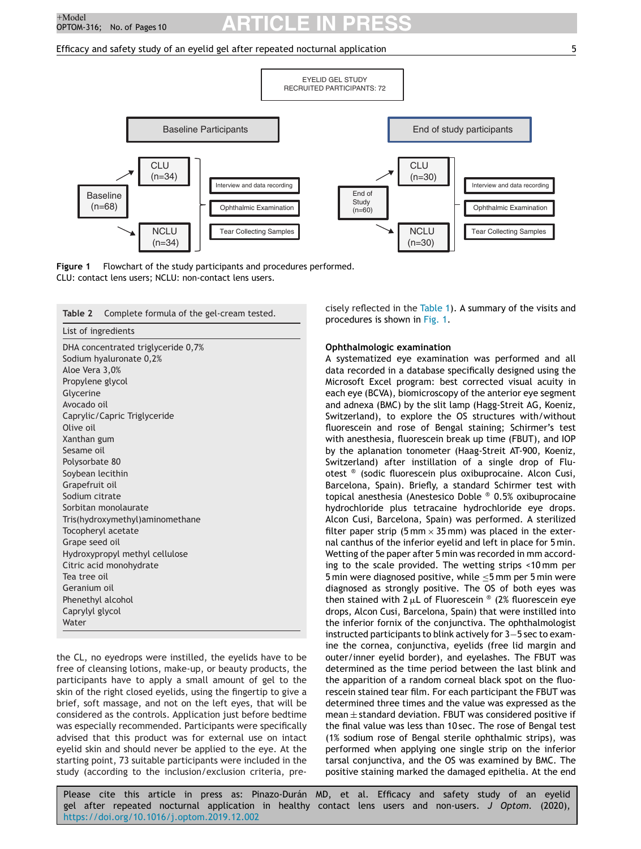### <span id="page-4-0"></span>Efficacy and safety study of an eyelid gel after repeated nocturnal application 5





| List of ingredients<br>DHA concentrated triglyceride 0,7%<br>Sodium hyaluronate 0,2%<br>Aloe Vera 3,0%<br>Propylene glycol |  |  |  |  |
|----------------------------------------------------------------------------------------------------------------------------|--|--|--|--|
|                                                                                                                            |  |  |  |  |
|                                                                                                                            |  |  |  |  |
|                                                                                                                            |  |  |  |  |
|                                                                                                                            |  |  |  |  |
|                                                                                                                            |  |  |  |  |
| Glycerine                                                                                                                  |  |  |  |  |
| Avocado oil                                                                                                                |  |  |  |  |
| Caprylic/Capric Triglyceride                                                                                               |  |  |  |  |
| Olive oil                                                                                                                  |  |  |  |  |
| Xanthan gum                                                                                                                |  |  |  |  |
| Sesame oil                                                                                                                 |  |  |  |  |
| Polysorbate 80                                                                                                             |  |  |  |  |
| Soybean lecithin                                                                                                           |  |  |  |  |
| Grapefruit oil                                                                                                             |  |  |  |  |
| Sodium citrate                                                                                                             |  |  |  |  |
| Sorbitan monolaurate                                                                                                       |  |  |  |  |
| Tris(hydroxymethyl)aminomethane                                                                                            |  |  |  |  |
| Tocopheryl acetate                                                                                                         |  |  |  |  |
| Grape seed oil                                                                                                             |  |  |  |  |
| Hydroxypropyl methyl cellulose                                                                                             |  |  |  |  |
| Citric acid monohydrate                                                                                                    |  |  |  |  |
| Tea tree oil                                                                                                               |  |  |  |  |
| Geranium oil                                                                                                               |  |  |  |  |
| Phenethyl alcohol                                                                                                          |  |  |  |  |
| Caprylyl glycol                                                                                                            |  |  |  |  |
| Water                                                                                                                      |  |  |  |  |

the CL, no eyedrops were instilled, the eyelids have to be free of cleansing lotions, make-up, or beauty products, the participants have to apply a small amount of gel to the skin of the right closed eyelids, using the fingertip to give a brief, soft massage, and not on the left eyes, that will be considered as the controls. Application just before bedtime was especially recommended. Participants were specifically advised that this product was for external use on intact eyelid skin and should never be applied to the eye. At the starting point, 73 suitable participants were included in the study (according to the inclusion/exclusion criteria, precisely reflected in the [Table](#page-3-0) 1). A summary of the visits and procedures is shown in Fig. 1.

#### **Ophthalmologic examination**

A systematized eye examination was performed and all data recorded in a database specifically designed using the Microsoft Excel program: best corrected visual acuity in each eye (BCVA), biomicroscopy of the anterior eye segment and adnexa (BMC) by the slit lamp (Hagg-Streit AG, Koeniz, Switzerland), to explore the OS structures with/without fluorescein and rose of Bengal staining; Schirmer's test with anesthesia, fluorescein break up time (FBUT), and IOP by the aplanation tonometer (Haag-Streit AT-900, Koeniz, Switzerland) after instillation of a single drop of Fluotest ® (sodic fluorescein plus oxibuprocaine. Alcon Cusi, Barcelona, Spain). Briefly, a standard Schirmer test with topical anesthesia (Anestesico Doble ® 0.5% oxibuprocaine hydrochloride plus tetracaine hydrochloride eye drops. Alcon Cusi, Barcelona, Spain) was performed. A sterilized filter paper strip (5 mm  $\times$  35 mm) was placed in the external canthus of the inferior eyelid and left in place for 5 min. Wetting of the paper after 5 min was recorded in mm according to the scale provided. The wetting strips <10 mm per 5 min were diagnosed positive, while ≤5 mm per 5 min were diagnosed as strongly positive. The OS of both eyes was then stained with  $2 \mu L$  of Fluorescein ® (2% fluorescein eye drops, Alcon Cusi, Barcelona, Spain) that were instilled into the inferior fornix of the conjunctiva. The ophthalmologist instructed participants to blink actively for 3−5 sec to examine the cornea, conjunctiva, eyelids (free lid margin and outer/inner eyelid border), and eyelashes. The FBUT was determined as the time period between the last blink and the apparition of a random corneal black spot on the fluorescein stained tear film. For each participant the FBUT was determined three times and the value was expressed as the  $mean  $\pm$  standard deviation. FBUT was considered positive if$ the final value was less than 10 sec. The rose of Bengal test (1% sodium rose of Bengal sterile ophthalmic strips), was performed when applying one single strip on the inferior tarsal conjunctiva, and the OS was examined by BMC. The positive staining marked the damaged epithelia. At the end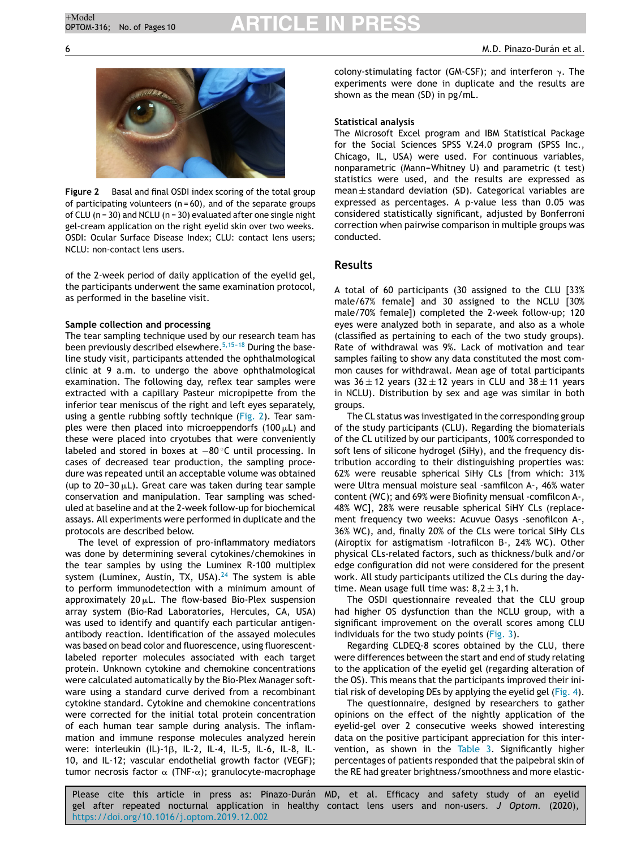

**Figure 2** Basal and final OSDI index scoring of the total group of participating volunteers ( $n = 60$ ), and of the separate groups of CLU (n = 30) and NCLU (n = 30) evaluated after one single night gel-cream application on the right eyelid skin over two weeks. OSDI: Ocular Surface Disease Index; CLU: contact lens users; NCLU: non-contact lens users.

of the 2-week period of daily application of the eyelid gel, the participants underwent the same examination protocol, as performed in the baseline visit.

## **Sample collection and processing**

The tear sampling technique used by our research team has been previously described elsewhere.<sup>5,15-18</sup> During the baseline study visit, participants attended the ophthalmological clinic at 9 a.m. to undergo the above ophthalmological examination. The following day, reflex tear samples were extracted with a capillary Pasteur micropipette from the inferior tear meniscus of the right and left eyes separately, using a gentle rubbing softly technique (Fig. 2). Tear samples were then placed into microeppendorfs (100  $\mu$ L) and these were placed into cryotubes that were conveniently labeled and stored in boxes at −80 ◦C until processing. In cases of decreased tear production, the sampling procedure was repeated until an acceptable volume was obtained (up to  $20-30 \mu L$ ). Great care was taken during tear sample conservation and manipulation. Tear sampling was scheduled at baseline and at the 2-week follow-up for biochemical assays. All experiments were performed in duplicate and the protocols are described below.

The level of expression of pro-inflammatory mediators was done by determining several cytokines/chemokines in the tear samples by using the Luminex R-100 multiplex system (Luminex, Austin, TX, USA). $24$  The system is able to perform immunodetection with a minimum amount of approximately 20 $\mu$ L. The flow-based Bio-Plex suspension array system (Bio-Rad Laboratories, Hercules, CA, USA) was used to identify and quantify each particular antigenantibody reaction. Identification of the assayed molecules was based on bead color and fluorescence, using fluorescentlabeled reporter molecules associated with each target protein. Unknown cytokine and chemokine concentrations were calculated automatically by the Bio-Plex Manager software using a standard curve derived from a recombinant cytokine standard. Cytokine and chemokine concentrations were corrected for the initial total protein concentration of each human tear sample during analysis. The inflammation and immune response molecules analyzed herein were: interleukin (IL)-1 $\beta$ , IL-2, IL-4, IL-5, IL-6, IL-8, IL-10, and IL-12; vascular endothelial growth factor (VEGF); tumor necrosis factor  $\alpha$  (TNF- $\alpha$ ); granulocyte-macrophage colony-stimulating factor (GM-CSF); and interferon  $\gamma$ . The experiments were done in duplicate and the results are shown as the mean (SD) in pg/mL.

### **Statistical analysis**

The Microsoft Excel program and IBM Statistical Package for the Social Sciences SPSS V.24.0 program (SPSS Inc., Chicago, IL, USA) were used. For continuous variables, nonparametric (Mann-Whitney U) and parametric (t test) statistics were used, and the results are expressed as mean  $\pm$  standard deviation (SD). Categorical variables are expressed as percentages. A p-value less than 0.05 was considered statistically significant, adjusted by Bonferroni correction when pairwise comparison in multiple groups was conducted.

### **Results**

A total of 60 participants (30 assigned to the CLU [33% male/67% female] and 30 assigned to the NCLU [30% male/70% female]) completed the 2-week follow-up; 120 eyes were analyzed both in separate, and also as a whole (classified as pertaining to each of the two study groups). Rate of withdrawal was 9%. Lack of motivation and tear samples failing to show any data constituted the most common causes for withdrawal. Mean age of total participants was  $36 \pm 12$  years (32  $\pm$  12 years in CLU and  $38 \pm 11$  years in NCLU). Distribution by sex and age was similar in both groups.

The CL status was investigated in the corresponding group of the study participants (CLU). Regarding the biomaterials of the CL utilized by our participants, 100% corresponded to soft lens of silicone hydrogel (SiHy), and the frequency distribution according to their distinguishing properties was: 62% were reusable spherical SiHy CLs [from which: 31% were Ultra mensual moisture seal -samfilcon A-, 46% water content (WC); and 69% were Biofinity mensual -comfilcon A-, 48% WC], 28% were reusable spherical SiHY CLs (replacement frequency two weeks: Acuvue Oasys -senofilcon A-, 36% WC), and, finally 20% of the CLs were torical SiHy CLs (Airoptix for astigmatism -Iotrafilcon B-, 24% WC). Other physical CLs-related factors, such as thickness/bulk and/or edge configuration did not were considered for the present work. All study participants utilized the CLs during the daytime. Mean usage full time was:  $8,2 \pm 3,1$  h.

The OSDI questionnaire revealed that the CLU group had higher OS dysfunction than the NCLU group, with a significant improvement on the overall scores among CLU individuals for the two study points  $(Fig. 3)$  $(Fig. 3)$ .

Regarding CLDEQ-8 scores obtained by the CLU, there were differences between the start and end of study relating to the application of the eyelid gel (regarding alteration of the OS). This means that the participants improved their initial risk of developing DEs by applying the eyelid gel ([Fig.](#page-6-0) 4).

The questionnaire, designed by researchers to gather opinions on the effect of the nightly application of the eyelid-gel over 2 consecutive weeks showed interesting data on the positive participant appreciation for this intervention, as shown in the [Table](#page-6-0) 3. Significantly higher percentages of patients responded that the palpebral skin of the RE had greater brightness/smoothness and more elastic-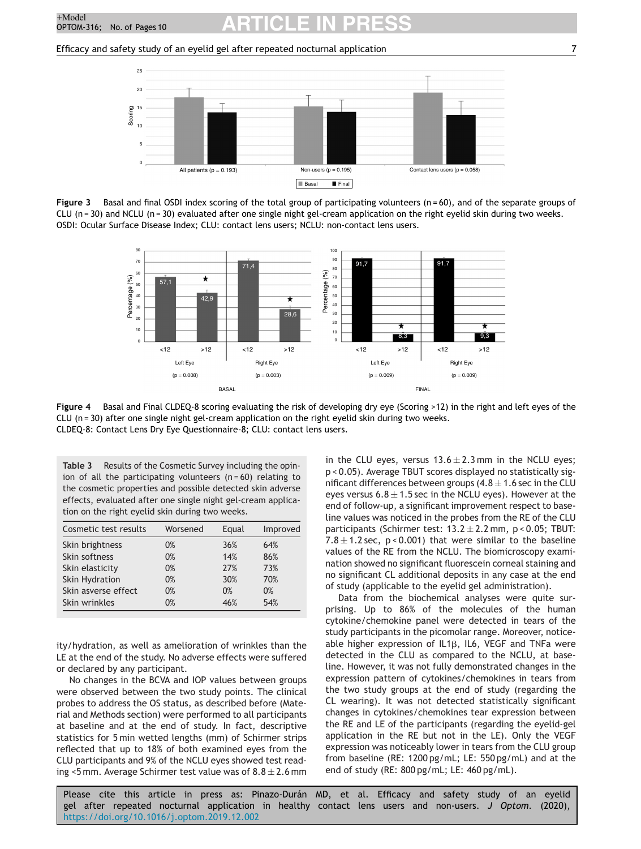<span id="page-6-0"></span>Efficacy and safety study of an eyelid gel after repeated nocturnal application 7



**Figure 3** Basal and final OSDI index scoring of the total group of participating volunteers (n = 60), and of the separate groups of CLU ( $n = 30$ ) and NCLU ( $n = 30$ ) evaluated after one single night gel-cream application on the right eyelid skin during two weeks. OSDI: Ocular Surface Disease Index; CLU: contact lens users; NCLU: non-contact lens users.



**Figure 4** Basal and Final CLDEQ-8 scoring evaluating the risk of developing dry eye (Scoring >12) in the right and left eyes of the CLU ( $n = 30$ ) after one single night gel-cream application on the right eyelid skin during two weeks. CLDEQ-8: Contact Lens Dry Eye Questionnaire-8; CLU: contact lens users.

**Table 3** Results of the Cosmetic Survey including the opinion of all the participating volunteers  $(n = 60)$  relating to the cosmetic properties and possible detected skin adverse effects, evaluated after one single night gel-cream application on the right eyelid skin during two weeks.

| Cosmetic test results | Worsened | Equal | Improved |
|-----------------------|----------|-------|----------|
| Skin brightness       | 0%       | 36%   | 64%      |
| Skin softness         | 0%       | 14%   | 86%      |
| Skin elasticity       | 0%       | 27%   | 73%      |
| <b>Skin Hydration</b> | 0%       | 30%   | 70%      |
| Skin asverse effect   | 0%       | 0%    | 0%       |
| Skin wrinkles         | 0%       | 46%   | 54%      |

ity/hydration, as well as amelioration of wrinkles than the LE at the end of the study. No adverse effects were suffered or declared by any participant.

No changes in the BCVA and IOP values between groups were observed between the two study points. The clinical probes to address the OS status, as described before (Material and Methods section) were performed to all participants at baseline and at the end of study. In fact, descriptive statistics for 5 min wetted lengths (mm) of Schirmer strips reflected that up to 18% of both examined eyes from the CLU participants and 9% of the NCLU eyes showed test reading <5 mm. Average Schirmer test value was of  $8.8 \pm 2.6$  mm in the CLU eyes, versus  $13.6 \pm 2.3$  mm in the NCLU eyes; p < 0.05). Average TBUT scores displayed no statistically significant differences between groups  $(4.8 \pm 1.6 \text{ sec}$  in the CLU eyes versus  $6.8 \pm 1.5$  sec in the NCLU eyes). However at the end of follow-up, a significant improvement respect to baseline values was noticed in the probes from the RE of the CLU participants (Schirmer test:  $13.2 \pm 2.2$  mm, p < 0.05; TBUT: 7.8  $\pm$  1.2 sec, p < 0.001) that were similar to the baseline values of the RE from the NCLU. The biomicroscopy examination showed no significant fluorescein corneal staining and no significant CL additional deposits in any case at the end of study (applicable to the eyelid gel administration).

Data from the biochemical analyses were quite surprising. Up to 86% of the molecules of the human cytokine/chemokine panel were detected in tears of the study participants in the picomolar range. Moreover, noticeable higher expression of IL1 $\beta$ , IL6, VEGF and TNFa were detected in the CLU as compared to the NCLU, at baseline. However, it was not fully demonstrated changes in the expression pattern of cytokines/chemokines in tears from the two study groups at the end of study (regarding the CL wearing). It was not detected statistically significant changes in cytokines/chemokines tear expression between the RE and LE of the participants (regarding the eyelid-gel application in the RE but not in the LE). Only the VEGF expression was noticeably lower in tears from the CLU group from baseline (RE: 1200 pg/mL; LE: 550 pg/mL) and at the end of study (RE: 800 pg/mL; LE: 460 pg/mL).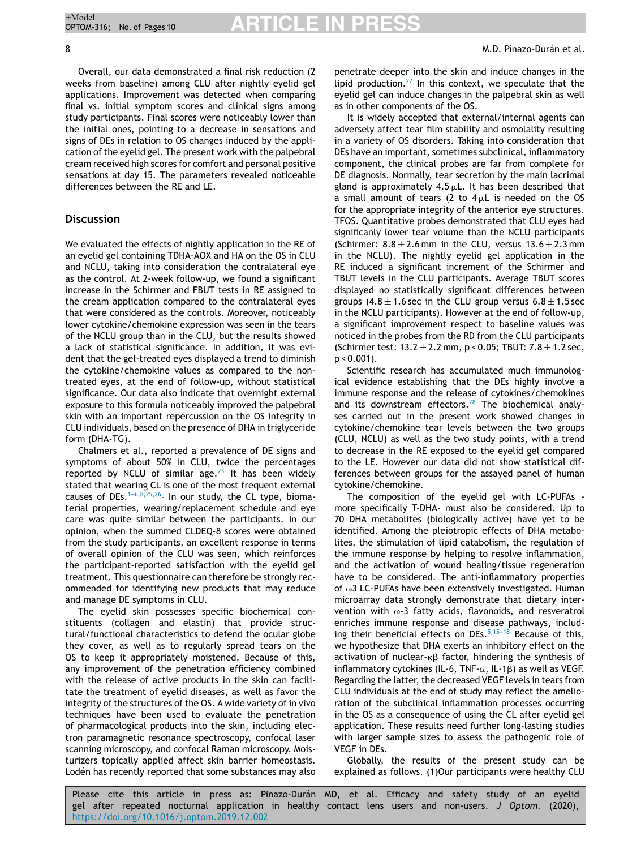Overall, our data demonstrated a final risk reduction (2 weeks from baseline) among CLU after nightly eyelid gel applications. Improvement was detected when comparing final vs. initial symptom scores and clinical signs among study participants. Final scores were noticeably lower than the initial ones, pointing to a decrease in sensations and signs of DEs in relation to OS changes induced by the application of the eyelid gel. The present work with the palpebral cream received high scores for comfort and personal positive sensations at day 15. The parameters revealed noticeable differences between the RE and LE.

## **Discussion**

We evaluated the effects of nightly application in the RE of an eyelid gel containing TDHA-AOX and HA on the OS in CLU and NCLU, taking into consideration the contralateral eye as the control. At 2-week follow-up, we found a significant increase in the Schirmer and FBUT tests in RE assigned to the cream application compared to the contralateral eyes that were considered as the controls. Moreover, noticeably lower cytokine/chemokine expression was seen in the tears of the NCLU group than in the CLU, but the results showed a lack of statistical significance. In addition, it was evident that the gel-treated eyes displayed a trend to diminish the cytokine/chemokine values as compared to the nontreated eyes, at the end of follow-up, without statistical significance. Our data also indicate that overnight external exposure to this formula noticeably improved the palpebral skin with an important repercussion on the OS integrity in CLU individuals, based on the presence of DHA in triglyceride form (DHA-TG).

Chalmers et al., reported a prevalence of DE signs and symptoms of about 50% in CLU, twice the percentages reported by NCLU of similar age.<sup>[23](#page-9-0)</sup> It has been widely stated that wearing CL is one of the most frequent external causes of DEs. $1-6,8,25,26$ . In our study, the CL type, biomaterial properties, wearing/replacement schedule and eye care was quite similar between the participants. In our opinion, when the summed CLDEQ-8 scores were obtained from the study participants, an excellent response in terms of overall opinion of the CLU was seen, which reinforces the participant-reported satisfaction with the eyelid gel treatment. This questionnaire can therefore be strongly recommended for identifying new products that may reduce and manage DE symptoms in CLU.

The eyelid skin possesses specific biochemical constituents (collagen and elastin) that provide structural/functional characteristics to defend the ocular globe they cover, as well as to regularly spread tears on the OS to keep it appropriately moistened. Because of this, any improvement of the penetration efficiency combined with the release of active products in the skin can facilitate the treatment of eyelid diseases, as well as favor the integrity of the structures of the OS. A wide variety of in vivo techniques have been used to evaluate the penetration of pharmacological products into the skin, including electron paramagnetic resonance spectroscopy, confocal laser scanning microscopy, and confocal Raman microscopy. Moisturizers topically applied affect skin barrier homeostasis. Lodén has recently reported that some substances may also penetrate deeper into the skin and induce changes in the lipid production.<sup>[27](#page-9-0)</sup> In this context, we speculate that the eyelid gel can induce changes in the palpebral skin as well as in other components of the OS.

It is widely accepted that external/internal agents can adversely affect tear film stability and osmolality resulting in a variety of OS disorders. Taking into consideration that DEs have an important, sometimes subclinical, inflammatory component, the clinical probes are far from complete for DE diagnosis. Normally, tear secretion by the main lacrimal gland is approximately  $4.5 \mu L$ . It has been described that a small amount of tears (2 to  $4 \mu L$  is needed on the OS for the appropriate integrity of the anterior eye structures. TFOS. Quantitative probes demonstrated that CLU eyes had significanly lower tear volume than the NCLU participants (Schirmer:  $8.8 \pm 2.6$  mm in the CLU, versus  $13.6 \pm 2.3$  mm in the NCLU). The nightly eyelid gel application in the RE induced a significant increment of the Schirmer and TBUT levels in the CLU participants. Average TBUT scores displayed no statistically significant differences between groups  $(4.8 \pm 1.6 \text{ sec}$  in the CLU group versus  $6.8 \pm 1.5 \text{ sec}$ in the NCLU participants). However at the end of follow-up, a significant improvement respect to baseline values was noticed in the probes from the RD from the CLU participants (Schirmer test:  $13.2 \pm 2.2$  mm,  $p < 0.05$ ; TBUT:  $7.8 \pm 1.2$  sec,  $p < 0.001$ ).

Scientific research has accumulated much immunological evidence establishing that the DEs highly involve a immune response and the release of cytokines/chemokines and its downstream effectors. $28$  The biochemical analyses carried out in the present work showed changes in cytokine/chemokine tear levels between the two groups (CLU, NCLU) as well as the two study points, with a trend to decrease in the RE exposed to the eyelid gel compared to the LE. However our data did not show statistical differences between groups for the assayed panel of human cytokine/chemokine.

The composition of the eyelid gel with LC-PUFAs more specifically T-DHA- must also be considered. Up to 70 DHA metabolites (biologically active) have yet to be identified. Among the pleiotropic effects of DHA metabolites, the stimulation of lipid catabolism, the regulation of the immune response by helping to resolve inflammation, and the activation of wound healing/tissue regeneration have to be considered. The anti-inflammatory properties of  $\omega$ 3 LC-PUFAs have been extensively investigated. Human microarray data strongly demonstrate that dietary intervention with  $\omega$ -3 fatty acids, flavonoids, and resveratrol enriches immune response and disease pathways, including their beneficial effects on DEs. $5,15-18$  Because of this, we hypothesize that DHA exerts an inhibitory effect on the activation of nuclear- $\kappa\beta$  factor, hindering the synthesis of inflammatory cytokines (IL-6, TNF- $\alpha$ , IL-1 $\beta$ ) as well as VEGF. Regarding the latter, the decreased VEGF levels in tears from CLU individuals at the end of study may reflect the amelioration of the subclinical inflammation processes occurring in the OS as a consequence of using the CL after eyelid gel application. These results need further long-lasting studies with larger sample sizes to assess the pathogenic role of VEGF in DEs.

Globally, the results of the present study can be explained as follows. (1)Our participants were healthy CLU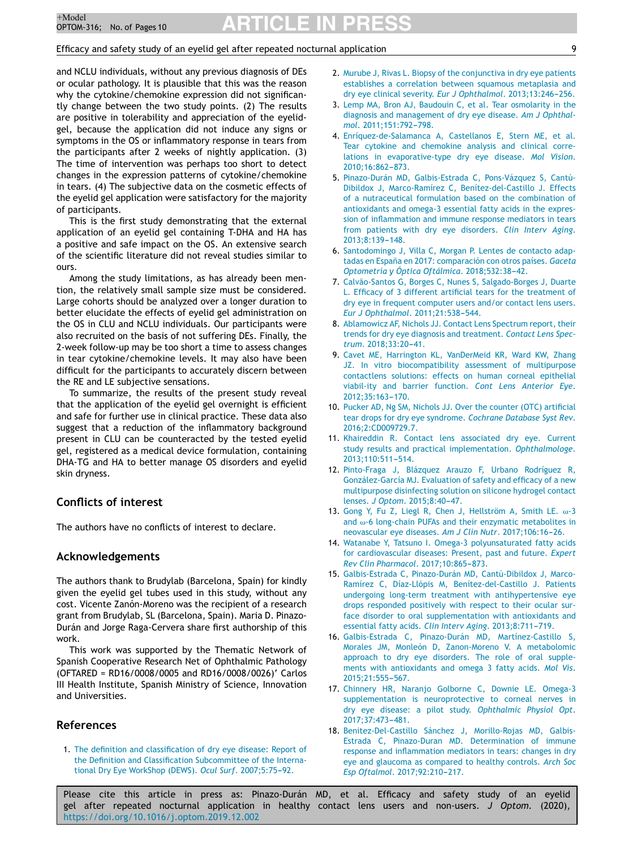## <span id="page-8-0"></span>Efficacy and safety study of an eyelid gel after repeated nocturnal application 9

and NCLU individuals, without any previous diagnosis of DEs or ocular pathology. It is plausible that this was the reason why the cytokine/chemokine expression did not significantly change between the two study points. (2) The results are positive in tolerability and appreciation of the eyelidgel, because the application did not induce any signs or symptoms in the OS or inflammatory response in tears from the participants after 2 weeks of nightly application. (3) The time of intervention was perhaps too short to detect changes in the expression patterns of cytokine/chemokine in tears. (4) The subjective data on the cosmetic effects of the eyelid gel application were satisfactory for the majority of participants.

This is the first study demonstrating that the external application of an eyelid gel containing T-DHA and HA has a positive and safe impact on the OS. An extensive search of the scientific literature did not reveal studies similar to ours.

Among the study limitations, as has already been mention, the relatively small sample size must be considered. Large cohorts should be analyzed over a longer duration to better elucidate the effects of eyelid gel administration on the OS in CLU and NCLU individuals. Our participants were also recruited on the basis of not suffering DEs. Finally, the 2-week follow-up may be too short a time to assess changes in tear cytokine/chemokine levels. It may also have been difficult for the participants to accurately discern between the RE and LE subjective sensations.

To summarize, the results of the present study reveal that the application of the eyelid gel overnight is efficient and safe for further use in clinical practice. These data also suggest that a reduction of the inflammatory background present in CLU can be counteracted by the tested eyelid gel, registered as a medical device formulation, containing DHA-TG and HA to better manage OS disorders and eyelid skin dryness.

## **Conflicts of interest**

The authors have no conflicts of interest to declare.

## **Acknowledgements**

The authors thank to Brudylab (Barcelona, Spain) for kindly given the eyelid gel tubes used in this study, without any cost. Vicente Zanón-Moreno was the recipient of a research grant from Brudylab, SL (Barcelona, Spain). Maria D. Pinazo-Durán and Jorge Raga-Cervera share first authorship of this work.

This work was supported by the Thematic Network of Spanish Cooperative Research Net of Ophthalmic Pathology (OFTARED = RD16/0008/0005 and RD16/0008/0026)' Carlos III Health Institute, Spanish Ministry of Science, Innovation and Universities.

## **References**

1. [The](http://refhub.elsevier.com/S1888-4296(19)30107-4/sbref0005) [definition](http://refhub.elsevier.com/S1888-4296(19)30107-4/sbref0005) [and](http://refhub.elsevier.com/S1888-4296(19)30107-4/sbref0005) [classification](http://refhub.elsevier.com/S1888-4296(19)30107-4/sbref0005) [of](http://refhub.elsevier.com/S1888-4296(19)30107-4/sbref0005) [dry](http://refhub.elsevier.com/S1888-4296(19)30107-4/sbref0005) [eye](http://refhub.elsevier.com/S1888-4296(19)30107-4/sbref0005) [disease:](http://refhub.elsevier.com/S1888-4296(19)30107-4/sbref0005) [Report](http://refhub.elsevier.com/S1888-4296(19)30107-4/sbref0005) [of](http://refhub.elsevier.com/S1888-4296(19)30107-4/sbref0005) [the](http://refhub.elsevier.com/S1888-4296(19)30107-4/sbref0005) [Definition](http://refhub.elsevier.com/S1888-4296(19)30107-4/sbref0005) [and](http://refhub.elsevier.com/S1888-4296(19)30107-4/sbref0005) [Classification](http://refhub.elsevier.com/S1888-4296(19)30107-4/sbref0005) [Subcommittee](http://refhub.elsevier.com/S1888-4296(19)30107-4/sbref0005) [of](http://refhub.elsevier.com/S1888-4296(19)30107-4/sbref0005) [the](http://refhub.elsevier.com/S1888-4296(19)30107-4/sbref0005) [Interna](http://refhub.elsevier.com/S1888-4296(19)30107-4/sbref0005)[tional](http://refhub.elsevier.com/S1888-4296(19)30107-4/sbref0005) [Dry](http://refhub.elsevier.com/S1888-4296(19)30107-4/sbref0005) [Eye](http://refhub.elsevier.com/S1888-4296(19)30107-4/sbref0005) [WorkShop](http://refhub.elsevier.com/S1888-4296(19)30107-4/sbref0005) [\(DEWS\).](http://refhub.elsevier.com/S1888-4296(19)30107-4/sbref0005) [Ocul](http://refhub.elsevier.com/S1888-4296(19)30107-4/sbref0005) [Surf](http://refhub.elsevier.com/S1888-4296(19)30107-4/sbref0005)[.](http://refhub.elsevier.com/S1888-4296(19)30107-4/sbref0005) 2007;5:75-92.

- 2. [Murube](http://refhub.elsevier.com/S1888-4296(19)30107-4/sbref0010) [J,](http://refhub.elsevier.com/S1888-4296(19)30107-4/sbref0010) [Rivas](http://refhub.elsevier.com/S1888-4296(19)30107-4/sbref0010) [L.](http://refhub.elsevier.com/S1888-4296(19)30107-4/sbref0010) [Biopsy](http://refhub.elsevier.com/S1888-4296(19)30107-4/sbref0010) [of](http://refhub.elsevier.com/S1888-4296(19)30107-4/sbref0010) [the](http://refhub.elsevier.com/S1888-4296(19)30107-4/sbref0010) [conjunctiva](http://refhub.elsevier.com/S1888-4296(19)30107-4/sbref0010) [in](http://refhub.elsevier.com/S1888-4296(19)30107-4/sbref0010) [dry](http://refhub.elsevier.com/S1888-4296(19)30107-4/sbref0010) [eye](http://refhub.elsevier.com/S1888-4296(19)30107-4/sbref0010) [patients](http://refhub.elsevier.com/S1888-4296(19)30107-4/sbref0010) [establishes](http://refhub.elsevier.com/S1888-4296(19)30107-4/sbref0010) [a](http://refhub.elsevier.com/S1888-4296(19)30107-4/sbref0010) [correlation](http://refhub.elsevier.com/S1888-4296(19)30107-4/sbref0010) [between](http://refhub.elsevier.com/S1888-4296(19)30107-4/sbref0010) [squamous](http://refhub.elsevier.com/S1888-4296(19)30107-4/sbref0010) [metaplasia](http://refhub.elsevier.com/S1888-4296(19)30107-4/sbref0010) [and](http://refhub.elsevier.com/S1888-4296(19)30107-4/sbref0010) [dry](http://refhub.elsevier.com/S1888-4296(19)30107-4/sbref0010) [eye](http://refhub.elsevier.com/S1888-4296(19)30107-4/sbref0010) [clinical](http://refhub.elsevier.com/S1888-4296(19)30107-4/sbref0010) [severity.](http://refhub.elsevier.com/S1888-4296(19)30107-4/sbref0010) *[Eur](http://refhub.elsevier.com/S1888-4296(19)30107-4/sbref0010) [J](http://refhub.elsevier.com/S1888-4296(19)30107-4/sbref0010) [Ophthalmol](http://refhub.elsevier.com/S1888-4296(19)30107-4/sbref0010)*[.](http://refhub.elsevier.com/S1888-4296(19)30107-4/sbref0010) 2013;13:246-256.
- 3. [Lemp](http://refhub.elsevier.com/S1888-4296(19)30107-4/sbref0015) [MA,](http://refhub.elsevier.com/S1888-4296(19)30107-4/sbref0015) [Bron](http://refhub.elsevier.com/S1888-4296(19)30107-4/sbref0015) [AJ,](http://refhub.elsevier.com/S1888-4296(19)30107-4/sbref0015) [Baudouin](http://refhub.elsevier.com/S1888-4296(19)30107-4/sbref0015) [C,](http://refhub.elsevier.com/S1888-4296(19)30107-4/sbref0015) [et](http://refhub.elsevier.com/S1888-4296(19)30107-4/sbref0015) [al.](http://refhub.elsevier.com/S1888-4296(19)30107-4/sbref0015) [Tear](http://refhub.elsevier.com/S1888-4296(19)30107-4/sbref0015) [osmolarity](http://refhub.elsevier.com/S1888-4296(19)30107-4/sbref0015) [in](http://refhub.elsevier.com/S1888-4296(19)30107-4/sbref0015) [the](http://refhub.elsevier.com/S1888-4296(19)30107-4/sbref0015) [diagnosis](http://refhub.elsevier.com/S1888-4296(19)30107-4/sbref0015) [and](http://refhub.elsevier.com/S1888-4296(19)30107-4/sbref0015) [management](http://refhub.elsevier.com/S1888-4296(19)30107-4/sbref0015) [of](http://refhub.elsevier.com/S1888-4296(19)30107-4/sbref0015) [dry](http://refhub.elsevier.com/S1888-4296(19)30107-4/sbref0015) [eye](http://refhub.elsevier.com/S1888-4296(19)30107-4/sbref0015) [disease.](http://refhub.elsevier.com/S1888-4296(19)30107-4/sbref0015) *[Am](http://refhub.elsevier.com/S1888-4296(19)30107-4/sbref0015) [J](http://refhub.elsevier.com/S1888-4296(19)30107-4/sbref0015) [Ophthal](http://refhub.elsevier.com/S1888-4296(19)30107-4/sbref0015)[mol](http://refhub.elsevier.com/S1888-4296(19)30107-4/sbref0015)[.](http://refhub.elsevier.com/S1888-4296(19)30107-4/sbref0015)* [2011;151:792-](http://refhub.elsevier.com/S1888-4296(19)30107-4/sbref0015)[798.](http://refhub.elsevier.com/S1888-4296(19)30107-4/sbref0015)
- 4. [Enríquez-de-Salamanca](http://refhub.elsevier.com/S1888-4296(19)30107-4/sbref0020) [A,](http://refhub.elsevier.com/S1888-4296(19)30107-4/sbref0020) [Castellanos](http://refhub.elsevier.com/S1888-4296(19)30107-4/sbref0020) [E,](http://refhub.elsevier.com/S1888-4296(19)30107-4/sbref0020) [Stern](http://refhub.elsevier.com/S1888-4296(19)30107-4/sbref0020) [ME,](http://refhub.elsevier.com/S1888-4296(19)30107-4/sbref0020) [et](http://refhub.elsevier.com/S1888-4296(19)30107-4/sbref0020) [al.](http://refhub.elsevier.com/S1888-4296(19)30107-4/sbref0020) [Tear](http://refhub.elsevier.com/S1888-4296(19)30107-4/sbref0020) [cytokine](http://refhub.elsevier.com/S1888-4296(19)30107-4/sbref0020) [and](http://refhub.elsevier.com/S1888-4296(19)30107-4/sbref0020) [chemokine](http://refhub.elsevier.com/S1888-4296(19)30107-4/sbref0020) [analysis](http://refhub.elsevier.com/S1888-4296(19)30107-4/sbref0020) [and](http://refhub.elsevier.com/S1888-4296(19)30107-4/sbref0020) [clinical](http://refhub.elsevier.com/S1888-4296(19)30107-4/sbref0020) [corre](http://refhub.elsevier.com/S1888-4296(19)30107-4/sbref0020)[lations](http://refhub.elsevier.com/S1888-4296(19)30107-4/sbref0020) [in](http://refhub.elsevier.com/S1888-4296(19)30107-4/sbref0020) [evaporative-type](http://refhub.elsevier.com/S1888-4296(19)30107-4/sbref0020) [dry](http://refhub.elsevier.com/S1888-4296(19)30107-4/sbref0020) [eye](http://refhub.elsevier.com/S1888-4296(19)30107-4/sbref0020) [disease.](http://refhub.elsevier.com/S1888-4296(19)30107-4/sbref0020) *[Mol](http://refhub.elsevier.com/S1888-4296(19)30107-4/sbref0020) [Vision](http://refhub.elsevier.com/S1888-4296(19)30107-4/sbref0020)*[.](http://refhub.elsevier.com/S1888-4296(19)30107-4/sbref0020) 2010:16:862-[873.](http://refhub.elsevier.com/S1888-4296(19)30107-4/sbref0020)
- 5. [Pinazo-Durán](http://refhub.elsevier.com/S1888-4296(19)30107-4/sbref0025) [MD,](http://refhub.elsevier.com/S1888-4296(19)30107-4/sbref0025) [Galbis-Estrada](http://refhub.elsevier.com/S1888-4296(19)30107-4/sbref0025) [C,](http://refhub.elsevier.com/S1888-4296(19)30107-4/sbref0025) [Pons-Vázquez](http://refhub.elsevier.com/S1888-4296(19)30107-4/sbref0025) [S,](http://refhub.elsevier.com/S1888-4296(19)30107-4/sbref0025) [Cantú-](http://refhub.elsevier.com/S1888-4296(19)30107-4/sbref0025)[Dibildox](http://refhub.elsevier.com/S1888-4296(19)30107-4/sbref0025) [J,](http://refhub.elsevier.com/S1888-4296(19)30107-4/sbref0025) [Marco-Ramírez](http://refhub.elsevier.com/S1888-4296(19)30107-4/sbref0025) [C,](http://refhub.elsevier.com/S1888-4296(19)30107-4/sbref0025) [Benítez-del-Castillo](http://refhub.elsevier.com/S1888-4296(19)30107-4/sbref0025) [J.](http://refhub.elsevier.com/S1888-4296(19)30107-4/sbref0025) [Effects](http://refhub.elsevier.com/S1888-4296(19)30107-4/sbref0025) [of](http://refhub.elsevier.com/S1888-4296(19)30107-4/sbref0025) [a](http://refhub.elsevier.com/S1888-4296(19)30107-4/sbref0025) [nutraceutical](http://refhub.elsevier.com/S1888-4296(19)30107-4/sbref0025) [formulation](http://refhub.elsevier.com/S1888-4296(19)30107-4/sbref0025) [based](http://refhub.elsevier.com/S1888-4296(19)30107-4/sbref0025) [on](http://refhub.elsevier.com/S1888-4296(19)30107-4/sbref0025) [the](http://refhub.elsevier.com/S1888-4296(19)30107-4/sbref0025) [combination](http://refhub.elsevier.com/S1888-4296(19)30107-4/sbref0025) [of](http://refhub.elsevier.com/S1888-4296(19)30107-4/sbref0025) [antioxidants](http://refhub.elsevier.com/S1888-4296(19)30107-4/sbref0025) [and](http://refhub.elsevier.com/S1888-4296(19)30107-4/sbref0025) [omega-3](http://refhub.elsevier.com/S1888-4296(19)30107-4/sbref0025) [essential](http://refhub.elsevier.com/S1888-4296(19)30107-4/sbref0025) [fatty](http://refhub.elsevier.com/S1888-4296(19)30107-4/sbref0025) [acids](http://refhub.elsevier.com/S1888-4296(19)30107-4/sbref0025) [in](http://refhub.elsevier.com/S1888-4296(19)30107-4/sbref0025) [the](http://refhub.elsevier.com/S1888-4296(19)30107-4/sbref0025) [expres](http://refhub.elsevier.com/S1888-4296(19)30107-4/sbref0025)[sion](http://refhub.elsevier.com/S1888-4296(19)30107-4/sbref0025) [of](http://refhub.elsevier.com/S1888-4296(19)30107-4/sbref0025) [inflammation](http://refhub.elsevier.com/S1888-4296(19)30107-4/sbref0025) [and](http://refhub.elsevier.com/S1888-4296(19)30107-4/sbref0025) [immune](http://refhub.elsevier.com/S1888-4296(19)30107-4/sbref0025) [response](http://refhub.elsevier.com/S1888-4296(19)30107-4/sbref0025) [mediators](http://refhub.elsevier.com/S1888-4296(19)30107-4/sbref0025) [in](http://refhub.elsevier.com/S1888-4296(19)30107-4/sbref0025) [tears](http://refhub.elsevier.com/S1888-4296(19)30107-4/sbref0025) [from](http://refhub.elsevier.com/S1888-4296(19)30107-4/sbref0025) [patients](http://refhub.elsevier.com/S1888-4296(19)30107-4/sbref0025) [with](http://refhub.elsevier.com/S1888-4296(19)30107-4/sbref0025) [dry](http://refhub.elsevier.com/S1888-4296(19)30107-4/sbref0025) [eye](http://refhub.elsevier.com/S1888-4296(19)30107-4/sbref0025) [disorders.](http://refhub.elsevier.com/S1888-4296(19)30107-4/sbref0025) *[Clin](http://refhub.elsevier.com/S1888-4296(19)30107-4/sbref0025) [Interv](http://refhub.elsevier.com/S1888-4296(19)30107-4/sbref0025) [Aging](http://refhub.elsevier.com/S1888-4296(19)30107-4/sbref0025)*[.](http://refhub.elsevier.com/S1888-4296(19)30107-4/sbref0025) 2013:8:139-148.
- 6. [Santodomingo](http://refhub.elsevier.com/S1888-4296(19)30107-4/sbref0030) [J,](http://refhub.elsevier.com/S1888-4296(19)30107-4/sbref0030) [Villa](http://refhub.elsevier.com/S1888-4296(19)30107-4/sbref0030) [C,](http://refhub.elsevier.com/S1888-4296(19)30107-4/sbref0030) [Morgan](http://refhub.elsevier.com/S1888-4296(19)30107-4/sbref0030) [P.](http://refhub.elsevier.com/S1888-4296(19)30107-4/sbref0030) [Lentes](http://refhub.elsevier.com/S1888-4296(19)30107-4/sbref0030) [de](http://refhub.elsevier.com/S1888-4296(19)30107-4/sbref0030) [contacto](http://refhub.elsevier.com/S1888-4296(19)30107-4/sbref0030) [adap](http://refhub.elsevier.com/S1888-4296(19)30107-4/sbref0030)[tadas](http://refhub.elsevier.com/S1888-4296(19)30107-4/sbref0030) [en](http://refhub.elsevier.com/S1888-4296(19)30107-4/sbref0030) [Espana˜](http://refhub.elsevier.com/S1888-4296(19)30107-4/sbref0030) [en](http://refhub.elsevier.com/S1888-4296(19)30107-4/sbref0030) [2017:](http://refhub.elsevier.com/S1888-4296(19)30107-4/sbref0030) [comparación](http://refhub.elsevier.com/S1888-4296(19)30107-4/sbref0030) [con](http://refhub.elsevier.com/S1888-4296(19)30107-4/sbref0030) [otros](http://refhub.elsevier.com/S1888-4296(19)30107-4/sbref0030) [países.](http://refhub.elsevier.com/S1888-4296(19)30107-4/sbref0030) *[Gaceta](http://refhub.elsevier.com/S1888-4296(19)30107-4/sbref0030) [Optometría](http://refhub.elsevier.com/S1888-4296(19)30107-4/sbref0030)* [y](http://refhub.elsevier.com/S1888-4296(19)30107-4/sbref0030) [Óptica](http://refhub.elsevier.com/S1888-4296(19)30107-4/sbref0030) *[Oftálmica](http://refhub.elsevier.com/S1888-4296(19)30107-4/sbref0030)*[.](http://refhub.elsevier.com/S1888-4296(19)30107-4/sbref0030) 2018;532:38-42.
- 7. [Calvão-Santos](http://refhub.elsevier.com/S1888-4296(19)30107-4/sbref0035) [G,](http://refhub.elsevier.com/S1888-4296(19)30107-4/sbref0035) [Borges](http://refhub.elsevier.com/S1888-4296(19)30107-4/sbref0035) [C,](http://refhub.elsevier.com/S1888-4296(19)30107-4/sbref0035) [Nunes](http://refhub.elsevier.com/S1888-4296(19)30107-4/sbref0035) [S,](http://refhub.elsevier.com/S1888-4296(19)30107-4/sbref0035) [Salgado-Borges](http://refhub.elsevier.com/S1888-4296(19)30107-4/sbref0035) [J,](http://refhub.elsevier.com/S1888-4296(19)30107-4/sbref0035) [Duarte](http://refhub.elsevier.com/S1888-4296(19)30107-4/sbref0035) [L.](http://refhub.elsevier.com/S1888-4296(19)30107-4/sbref0035) [Efficacy](http://refhub.elsevier.com/S1888-4296(19)30107-4/sbref0035) [of](http://refhub.elsevier.com/S1888-4296(19)30107-4/sbref0035) [3](http://refhub.elsevier.com/S1888-4296(19)30107-4/sbref0035) [different](http://refhub.elsevier.com/S1888-4296(19)30107-4/sbref0035) [artificial](http://refhub.elsevier.com/S1888-4296(19)30107-4/sbref0035) [tears](http://refhub.elsevier.com/S1888-4296(19)30107-4/sbref0035) [for](http://refhub.elsevier.com/S1888-4296(19)30107-4/sbref0035) [the](http://refhub.elsevier.com/S1888-4296(19)30107-4/sbref0035) [treatment](http://refhub.elsevier.com/S1888-4296(19)30107-4/sbref0035) [of](http://refhub.elsevier.com/S1888-4296(19)30107-4/sbref0035) [dry](http://refhub.elsevier.com/S1888-4296(19)30107-4/sbref0035) [eye](http://refhub.elsevier.com/S1888-4296(19)30107-4/sbref0035) [in](http://refhub.elsevier.com/S1888-4296(19)30107-4/sbref0035) [frequent](http://refhub.elsevier.com/S1888-4296(19)30107-4/sbref0035) [computer](http://refhub.elsevier.com/S1888-4296(19)30107-4/sbref0035) [users](http://refhub.elsevier.com/S1888-4296(19)30107-4/sbref0035) [and/or](http://refhub.elsevier.com/S1888-4296(19)30107-4/sbref0035) [contact](http://refhub.elsevier.com/S1888-4296(19)30107-4/sbref0035) [lens](http://refhub.elsevier.com/S1888-4296(19)30107-4/sbref0035) [users.](http://refhub.elsevier.com/S1888-4296(19)30107-4/sbref0035) *[Eur](http://refhub.elsevier.com/S1888-4296(19)30107-4/sbref0035) [J](http://refhub.elsevier.com/S1888-4296(19)30107-4/sbref0035) [Ophthalmol](http://refhub.elsevier.com/S1888-4296(19)30107-4/sbref0035)[.](http://refhub.elsevier.com/S1888-4296(19)30107-4/sbref0035)* 2011;21:538-544.
- 8. [Ablamowicz](http://refhub.elsevier.com/S1888-4296(19)30107-4/sbref0040) [AF,](http://refhub.elsevier.com/S1888-4296(19)30107-4/sbref0040) [Nichols](http://refhub.elsevier.com/S1888-4296(19)30107-4/sbref0040) [JJ.](http://refhub.elsevier.com/S1888-4296(19)30107-4/sbref0040) [Contact](http://refhub.elsevier.com/S1888-4296(19)30107-4/sbref0040) [Lens](http://refhub.elsevier.com/S1888-4296(19)30107-4/sbref0040) [Spectrum](http://refhub.elsevier.com/S1888-4296(19)30107-4/sbref0040) [report,](http://refhub.elsevier.com/S1888-4296(19)30107-4/sbref0040) [their](http://refhub.elsevier.com/S1888-4296(19)30107-4/sbref0040) [trends](http://refhub.elsevier.com/S1888-4296(19)30107-4/sbref0040) [for](http://refhub.elsevier.com/S1888-4296(19)30107-4/sbref0040) [dry](http://refhub.elsevier.com/S1888-4296(19)30107-4/sbref0040) [eye](http://refhub.elsevier.com/S1888-4296(19)30107-4/sbref0040) [diagnosis](http://refhub.elsevier.com/S1888-4296(19)30107-4/sbref0040) [and](http://refhub.elsevier.com/S1888-4296(19)30107-4/sbref0040) [treatment.](http://refhub.elsevier.com/S1888-4296(19)30107-4/sbref0040) *[Contact](http://refhub.elsevier.com/S1888-4296(19)30107-4/sbref0040) [Lens](http://refhub.elsevier.com/S1888-4296(19)30107-4/sbref0040) [Spec](http://refhub.elsevier.com/S1888-4296(19)30107-4/sbref0040)[trum](http://refhub.elsevier.com/S1888-4296(19)30107-4/sbref0040)[.](http://refhub.elsevier.com/S1888-4296(19)30107-4/sbref0040)* 2018;33:20-41.
- 9. [Cavet](http://refhub.elsevier.com/S1888-4296(19)30107-4/sbref0045) [ME,](http://refhub.elsevier.com/S1888-4296(19)30107-4/sbref0045) [Harrington](http://refhub.elsevier.com/S1888-4296(19)30107-4/sbref0045) [KL,](http://refhub.elsevier.com/S1888-4296(19)30107-4/sbref0045) [VanDerMeid](http://refhub.elsevier.com/S1888-4296(19)30107-4/sbref0045) [KR,](http://refhub.elsevier.com/S1888-4296(19)30107-4/sbref0045) [Ward](http://refhub.elsevier.com/S1888-4296(19)30107-4/sbref0045) [KW,](http://refhub.elsevier.com/S1888-4296(19)30107-4/sbref0045) [Zhang](http://refhub.elsevier.com/S1888-4296(19)30107-4/sbref0045) [JZ.](http://refhub.elsevier.com/S1888-4296(19)30107-4/sbref0045) [In](http://refhub.elsevier.com/S1888-4296(19)30107-4/sbref0045) [vitro](http://refhub.elsevier.com/S1888-4296(19)30107-4/sbref0045) [biocompatibility](http://refhub.elsevier.com/S1888-4296(19)30107-4/sbref0045) [assessment](http://refhub.elsevier.com/S1888-4296(19)30107-4/sbref0045) [of](http://refhub.elsevier.com/S1888-4296(19)30107-4/sbref0045) [multipurpose](http://refhub.elsevier.com/S1888-4296(19)30107-4/sbref0045) [contactlens](http://refhub.elsevier.com/S1888-4296(19)30107-4/sbref0045) [solutions:](http://refhub.elsevier.com/S1888-4296(19)30107-4/sbref0045) [effects](http://refhub.elsevier.com/S1888-4296(19)30107-4/sbref0045) [on](http://refhub.elsevier.com/S1888-4296(19)30107-4/sbref0045) [human](http://refhub.elsevier.com/S1888-4296(19)30107-4/sbref0045) [corneal](http://refhub.elsevier.com/S1888-4296(19)30107-4/sbref0045) [epithelial](http://refhub.elsevier.com/S1888-4296(19)30107-4/sbref0045) [viabil-ity](http://refhub.elsevier.com/S1888-4296(19)30107-4/sbref0045) [and](http://refhub.elsevier.com/S1888-4296(19)30107-4/sbref0045) [barrier](http://refhub.elsevier.com/S1888-4296(19)30107-4/sbref0045) [function.](http://refhub.elsevier.com/S1888-4296(19)30107-4/sbref0045) *[Cont](http://refhub.elsevier.com/S1888-4296(19)30107-4/sbref0045) [Lens](http://refhub.elsevier.com/S1888-4296(19)30107-4/sbref0045) [Anterior](http://refhub.elsevier.com/S1888-4296(19)30107-4/sbref0045) [Eye](http://refhub.elsevier.com/S1888-4296(19)30107-4/sbref0045)*[.](http://refhub.elsevier.com/S1888-4296(19)30107-4/sbref0045) 2012;35:163-170.
- 10. [Pucker](http://refhub.elsevier.com/S1888-4296(19)30107-4/sbref0050) [AD,](http://refhub.elsevier.com/S1888-4296(19)30107-4/sbref0050) [Ng](http://refhub.elsevier.com/S1888-4296(19)30107-4/sbref0050) [SM,](http://refhub.elsevier.com/S1888-4296(19)30107-4/sbref0050) [Nichols](http://refhub.elsevier.com/S1888-4296(19)30107-4/sbref0050) [JJ.](http://refhub.elsevier.com/S1888-4296(19)30107-4/sbref0050) [Over](http://refhub.elsevier.com/S1888-4296(19)30107-4/sbref0050) [the](http://refhub.elsevier.com/S1888-4296(19)30107-4/sbref0050) [counter](http://refhub.elsevier.com/S1888-4296(19)30107-4/sbref0050) [\(OTC\)](http://refhub.elsevier.com/S1888-4296(19)30107-4/sbref0050) [artificial](http://refhub.elsevier.com/S1888-4296(19)30107-4/sbref0050) [tear](http://refhub.elsevier.com/S1888-4296(19)30107-4/sbref0050) [drops](http://refhub.elsevier.com/S1888-4296(19)30107-4/sbref0050) [for](http://refhub.elsevier.com/S1888-4296(19)30107-4/sbref0050) [dry](http://refhub.elsevier.com/S1888-4296(19)30107-4/sbref0050) [eye](http://refhub.elsevier.com/S1888-4296(19)30107-4/sbref0050) [syndrome.](http://refhub.elsevier.com/S1888-4296(19)30107-4/sbref0050) *[Cochrane](http://refhub.elsevier.com/S1888-4296(19)30107-4/sbref0050) [Database](http://refhub.elsevier.com/S1888-4296(19)30107-4/sbref0050) [Syst](http://refhub.elsevier.com/S1888-4296(19)30107-4/sbref0050) [Rev](http://refhub.elsevier.com/S1888-4296(19)30107-4/sbref0050)*[.](http://refhub.elsevier.com/S1888-4296(19)30107-4/sbref0050) [2016;2:CD009729.7.](http://refhub.elsevier.com/S1888-4296(19)30107-4/sbref0050)
- 11. [Khaireddin](http://refhub.elsevier.com/S1888-4296(19)30107-4/sbref0055) [R.](http://refhub.elsevier.com/S1888-4296(19)30107-4/sbref0055) [Contact](http://refhub.elsevier.com/S1888-4296(19)30107-4/sbref0055) [lens](http://refhub.elsevier.com/S1888-4296(19)30107-4/sbref0055) [associated](http://refhub.elsevier.com/S1888-4296(19)30107-4/sbref0055) [dry](http://refhub.elsevier.com/S1888-4296(19)30107-4/sbref0055) [eye.](http://refhub.elsevier.com/S1888-4296(19)30107-4/sbref0055) [Current](http://refhub.elsevier.com/S1888-4296(19)30107-4/sbref0055) [study](http://refhub.elsevier.com/S1888-4296(19)30107-4/sbref0055) [results](http://refhub.elsevier.com/S1888-4296(19)30107-4/sbref0055) [and](http://refhub.elsevier.com/S1888-4296(19)30107-4/sbref0055) [practical](http://refhub.elsevier.com/S1888-4296(19)30107-4/sbref0055) [implementation.](http://refhub.elsevier.com/S1888-4296(19)30107-4/sbref0055) *[Ophthalmologe](http://refhub.elsevier.com/S1888-4296(19)30107-4/sbref0055)*[.](http://refhub.elsevier.com/S1888-4296(19)30107-4/sbref0055) [2013;110:511](http://refhub.elsevier.com/S1888-4296(19)30107-4/sbref0055)-[514.](http://refhub.elsevier.com/S1888-4296(19)30107-4/sbref0055)
- 12. [Pinto-Fraga](http://refhub.elsevier.com/S1888-4296(19)30107-4/sbref0060) [J,](http://refhub.elsevier.com/S1888-4296(19)30107-4/sbref0060) [Blázquez](http://refhub.elsevier.com/S1888-4296(19)30107-4/sbref0060) [Arauzo](http://refhub.elsevier.com/S1888-4296(19)30107-4/sbref0060) [F,](http://refhub.elsevier.com/S1888-4296(19)30107-4/sbref0060) [Urbano](http://refhub.elsevier.com/S1888-4296(19)30107-4/sbref0060) [Rodríguez](http://refhub.elsevier.com/S1888-4296(19)30107-4/sbref0060) [R,](http://refhub.elsevier.com/S1888-4296(19)30107-4/sbref0060) [González-García](http://refhub.elsevier.com/S1888-4296(19)30107-4/sbref0060) [MJ.](http://refhub.elsevier.com/S1888-4296(19)30107-4/sbref0060) [Evaluation](http://refhub.elsevier.com/S1888-4296(19)30107-4/sbref0060) [of](http://refhub.elsevier.com/S1888-4296(19)30107-4/sbref0060) [safety](http://refhub.elsevier.com/S1888-4296(19)30107-4/sbref0060) [and](http://refhub.elsevier.com/S1888-4296(19)30107-4/sbref0060) [efficacy](http://refhub.elsevier.com/S1888-4296(19)30107-4/sbref0060) [of](http://refhub.elsevier.com/S1888-4296(19)30107-4/sbref0060) [a](http://refhub.elsevier.com/S1888-4296(19)30107-4/sbref0060) [new](http://refhub.elsevier.com/S1888-4296(19)30107-4/sbref0060) [multipurpose](http://refhub.elsevier.com/S1888-4296(19)30107-4/sbref0060) [disinfecting](http://refhub.elsevier.com/S1888-4296(19)30107-4/sbref0060) [solution](http://refhub.elsevier.com/S1888-4296(19)30107-4/sbref0060) [on](http://refhub.elsevier.com/S1888-4296(19)30107-4/sbref0060) [silicone](http://refhub.elsevier.com/S1888-4296(19)30107-4/sbref0060) [hydrogel](http://refhub.elsevier.com/S1888-4296(19)30107-4/sbref0060) [contact](http://refhub.elsevier.com/S1888-4296(19)30107-4/sbref0060) [lenses.](http://refhub.elsevier.com/S1888-4296(19)30107-4/sbref0060) *[J](http://refhub.elsevier.com/S1888-4296(19)30107-4/sbref0060) [Optom](http://refhub.elsevier.com/S1888-4296(19)30107-4/sbref0060)[.](http://refhub.elsevier.com/S1888-4296(19)30107-4/sbref0060)* 2015;8:40-47.
- 13. [Gong](http://refhub.elsevier.com/S1888-4296(19)30107-4/sbref0065) [Y,](http://refhub.elsevier.com/S1888-4296(19)30107-4/sbref0065) [Fu](http://refhub.elsevier.com/S1888-4296(19)30107-4/sbref0065) [Z,](http://refhub.elsevier.com/S1888-4296(19)30107-4/sbref0065) [Liegl](http://refhub.elsevier.com/S1888-4296(19)30107-4/sbref0065) [R,](http://refhub.elsevier.com/S1888-4296(19)30107-4/sbref0065) [Chen](http://refhub.elsevier.com/S1888-4296(19)30107-4/sbref0065) [J,](http://refhub.elsevier.com/S1888-4296(19)30107-4/sbref0065) [Hellström](http://refhub.elsevier.com/S1888-4296(19)30107-4/sbref0065) [A,](http://refhub.elsevier.com/S1888-4296(19)30107-4/sbref0065) [Smith](http://refhub.elsevier.com/S1888-4296(19)30107-4/sbref0065) [LE.](http://refhub.elsevier.com/S1888-4296(19)30107-4/sbref0065)  $\omega$ [-3](http://refhub.elsevier.com/S1888-4296(19)30107-4/sbref0065) [and](http://refhub.elsevier.com/S1888-4296(19)30107-4/sbref0065)  $\omega$ [-6](http://refhub.elsevier.com/S1888-4296(19)30107-4/sbref0065) [long-chain](http://refhub.elsevier.com/S1888-4296(19)30107-4/sbref0065) [PUFAs](http://refhub.elsevier.com/S1888-4296(19)30107-4/sbref0065) and [their](http://refhub.elsevier.com/S1888-4296(19)30107-4/sbref0065) [enzymatic](http://refhub.elsevier.com/S1888-4296(19)30107-4/sbref0065) [metabolites](http://refhub.elsevier.com/S1888-4296(19)30107-4/sbref0065) [in](http://refhub.elsevier.com/S1888-4296(19)30107-4/sbref0065) [neovascular](http://refhub.elsevier.com/S1888-4296(19)30107-4/sbref0065) [eye](http://refhub.elsevier.com/S1888-4296(19)30107-4/sbref0065) [diseases.](http://refhub.elsevier.com/S1888-4296(19)30107-4/sbref0065) [Am](http://refhub.elsevier.com/S1888-4296(19)30107-4/sbref0065) *[J](http://refhub.elsevier.com/S1888-4296(19)30107-4/sbref0065) [Clin](http://refhub.elsevier.com/S1888-4296(19)30107-4/sbref0065) [Nutr](http://refhub.elsevier.com/S1888-4296(19)30107-4/sbref0065)*[.](http://refhub.elsevier.com/S1888-4296(19)30107-4/sbref0065) 2017;106:16-26.
- 14. [Watanabe](http://refhub.elsevier.com/S1888-4296(19)30107-4/sbref0070) [Y,](http://refhub.elsevier.com/S1888-4296(19)30107-4/sbref0070) [Tatsuno](http://refhub.elsevier.com/S1888-4296(19)30107-4/sbref0070) [I.](http://refhub.elsevier.com/S1888-4296(19)30107-4/sbref0070) [Omega-3](http://refhub.elsevier.com/S1888-4296(19)30107-4/sbref0070) [polyunsaturated](http://refhub.elsevier.com/S1888-4296(19)30107-4/sbref0070) [fatty](http://refhub.elsevier.com/S1888-4296(19)30107-4/sbref0070) [acids](http://refhub.elsevier.com/S1888-4296(19)30107-4/sbref0070) [for](http://refhub.elsevier.com/S1888-4296(19)30107-4/sbref0070) [cardiovascular](http://refhub.elsevier.com/S1888-4296(19)30107-4/sbref0070) [diseases:](http://refhub.elsevier.com/S1888-4296(19)30107-4/sbref0070) [Present,](http://refhub.elsevier.com/S1888-4296(19)30107-4/sbref0070) [past](http://refhub.elsevier.com/S1888-4296(19)30107-4/sbref0070) [and](http://refhub.elsevier.com/S1888-4296(19)30107-4/sbref0070) [future.](http://refhub.elsevier.com/S1888-4296(19)30107-4/sbref0070) *[Expert](http://refhub.elsevier.com/S1888-4296(19)30107-4/sbref0070) [Rev](http://refhub.elsevier.com/S1888-4296(19)30107-4/sbref0070) [Clin](http://refhub.elsevier.com/S1888-4296(19)30107-4/sbref0070) [Pharmacol](http://refhub.elsevier.com/S1888-4296(19)30107-4/sbref0070)[.](http://refhub.elsevier.com/S1888-4296(19)30107-4/sbref0070)* 2017;10:865-873.
- 15. [Galbis-Estrada](http://refhub.elsevier.com/S1888-4296(19)30107-4/sbref0075) [C,](http://refhub.elsevier.com/S1888-4296(19)30107-4/sbref0075) [Pinazo-Durán](http://refhub.elsevier.com/S1888-4296(19)30107-4/sbref0075) [MD,](http://refhub.elsevier.com/S1888-4296(19)30107-4/sbref0075) [Cantú-Dibildox](http://refhub.elsevier.com/S1888-4296(19)30107-4/sbref0075) [J,](http://refhub.elsevier.com/S1888-4296(19)30107-4/sbref0075) [Marco-](http://refhub.elsevier.com/S1888-4296(19)30107-4/sbref0075)[Ramírez](http://refhub.elsevier.com/S1888-4296(19)30107-4/sbref0075) [C,](http://refhub.elsevier.com/S1888-4296(19)30107-4/sbref0075) [Díaz-Llópis](http://refhub.elsevier.com/S1888-4296(19)30107-4/sbref0075) [M,](http://refhub.elsevier.com/S1888-4296(19)30107-4/sbref0075) [Benítez-del-Castillo](http://refhub.elsevier.com/S1888-4296(19)30107-4/sbref0075) [J.](http://refhub.elsevier.com/S1888-4296(19)30107-4/sbref0075) [Patients](http://refhub.elsevier.com/S1888-4296(19)30107-4/sbref0075) [undergoing](http://refhub.elsevier.com/S1888-4296(19)30107-4/sbref0075) [long-term](http://refhub.elsevier.com/S1888-4296(19)30107-4/sbref0075) [treatment](http://refhub.elsevier.com/S1888-4296(19)30107-4/sbref0075) [with](http://refhub.elsevier.com/S1888-4296(19)30107-4/sbref0075) [antihypertensive](http://refhub.elsevier.com/S1888-4296(19)30107-4/sbref0075) [eye](http://refhub.elsevier.com/S1888-4296(19)30107-4/sbref0075) [drops](http://refhub.elsevier.com/S1888-4296(19)30107-4/sbref0075) [responded](http://refhub.elsevier.com/S1888-4296(19)30107-4/sbref0075) [positively](http://refhub.elsevier.com/S1888-4296(19)30107-4/sbref0075) [with](http://refhub.elsevier.com/S1888-4296(19)30107-4/sbref0075) [respect](http://refhub.elsevier.com/S1888-4296(19)30107-4/sbref0075) [to](http://refhub.elsevier.com/S1888-4296(19)30107-4/sbref0075) [their](http://refhub.elsevier.com/S1888-4296(19)30107-4/sbref0075) [ocular](http://refhub.elsevier.com/S1888-4296(19)30107-4/sbref0075) [sur](http://refhub.elsevier.com/S1888-4296(19)30107-4/sbref0075)[face](http://refhub.elsevier.com/S1888-4296(19)30107-4/sbref0075) [disorder](http://refhub.elsevier.com/S1888-4296(19)30107-4/sbref0075) [to](http://refhub.elsevier.com/S1888-4296(19)30107-4/sbref0075) [oral](http://refhub.elsevier.com/S1888-4296(19)30107-4/sbref0075) [supplementation](http://refhub.elsevier.com/S1888-4296(19)30107-4/sbref0075) [with](http://refhub.elsevier.com/S1888-4296(19)30107-4/sbref0075) [antioxidants](http://refhub.elsevier.com/S1888-4296(19)30107-4/sbref0075) [and](http://refhub.elsevier.com/S1888-4296(19)30107-4/sbref0075) [essential](http://refhub.elsevier.com/S1888-4296(19)30107-4/sbref0075) [fatty](http://refhub.elsevier.com/S1888-4296(19)30107-4/sbref0075) [acids.](http://refhub.elsevier.com/S1888-4296(19)30107-4/sbref0075) *[Clin](http://refhub.elsevier.com/S1888-4296(19)30107-4/sbref0075) [Interv](http://refhub.elsevier.com/S1888-4296(19)30107-4/sbref0075) [Aging](http://refhub.elsevier.com/S1888-4296(19)30107-4/sbref0075)*[.](http://refhub.elsevier.com/S1888-4296(19)30107-4/sbref0075) 2013;8:711-719.
- 16. [Galbis-Estrada](http://refhub.elsevier.com/S1888-4296(19)30107-4/sbref0080) [C,](http://refhub.elsevier.com/S1888-4296(19)30107-4/sbref0080) [Pinazo-Durán](http://refhub.elsevier.com/S1888-4296(19)30107-4/sbref0080) [MD,](http://refhub.elsevier.com/S1888-4296(19)30107-4/sbref0080) [Martínez-Castillo](http://refhub.elsevier.com/S1888-4296(19)30107-4/sbref0080) [S,](http://refhub.elsevier.com/S1888-4296(19)30107-4/sbref0080) [Morales](http://refhub.elsevier.com/S1888-4296(19)30107-4/sbref0080) [JM,](http://refhub.elsevier.com/S1888-4296(19)30107-4/sbref0080) [Monleón](http://refhub.elsevier.com/S1888-4296(19)30107-4/sbref0080) [D,](http://refhub.elsevier.com/S1888-4296(19)30107-4/sbref0080) [Zanon-Moreno](http://refhub.elsevier.com/S1888-4296(19)30107-4/sbref0080) [V.](http://refhub.elsevier.com/S1888-4296(19)30107-4/sbref0080) [A](http://refhub.elsevier.com/S1888-4296(19)30107-4/sbref0080) [metabolomic](http://refhub.elsevier.com/S1888-4296(19)30107-4/sbref0080) [approach](http://refhub.elsevier.com/S1888-4296(19)30107-4/sbref0080) [to](http://refhub.elsevier.com/S1888-4296(19)30107-4/sbref0080) [dry](http://refhub.elsevier.com/S1888-4296(19)30107-4/sbref0080) [eye](http://refhub.elsevier.com/S1888-4296(19)30107-4/sbref0080) [disorders.](http://refhub.elsevier.com/S1888-4296(19)30107-4/sbref0080) [The](http://refhub.elsevier.com/S1888-4296(19)30107-4/sbref0080) [role](http://refhub.elsevier.com/S1888-4296(19)30107-4/sbref0080) [of](http://refhub.elsevier.com/S1888-4296(19)30107-4/sbref0080) [oral](http://refhub.elsevier.com/S1888-4296(19)30107-4/sbref0080) [supple](http://refhub.elsevier.com/S1888-4296(19)30107-4/sbref0080)[ments](http://refhub.elsevier.com/S1888-4296(19)30107-4/sbref0080) [with](http://refhub.elsevier.com/S1888-4296(19)30107-4/sbref0080) [antioxidants](http://refhub.elsevier.com/S1888-4296(19)30107-4/sbref0080) [and](http://refhub.elsevier.com/S1888-4296(19)30107-4/sbref0080) [omega](http://refhub.elsevier.com/S1888-4296(19)30107-4/sbref0080) [3](http://refhub.elsevier.com/S1888-4296(19)30107-4/sbref0080) [fatty](http://refhub.elsevier.com/S1888-4296(19)30107-4/sbref0080) [acids.](http://refhub.elsevier.com/S1888-4296(19)30107-4/sbref0080) *[Mol](http://refhub.elsevier.com/S1888-4296(19)30107-4/sbref0080) [Vis](http://refhub.elsevier.com/S1888-4296(19)30107-4/sbref0080)*[.](http://refhub.elsevier.com/S1888-4296(19)30107-4/sbref0080) [2015;21:555](http://refhub.elsevier.com/S1888-4296(19)30107-4/sbref0080)-[567.](http://refhub.elsevier.com/S1888-4296(19)30107-4/sbref0080)
- 17. [Chinnery](http://refhub.elsevier.com/S1888-4296(19)30107-4/sbref0085) [HR,](http://refhub.elsevier.com/S1888-4296(19)30107-4/sbref0085) [Naranjo](http://refhub.elsevier.com/S1888-4296(19)30107-4/sbref0085) [Golborne](http://refhub.elsevier.com/S1888-4296(19)30107-4/sbref0085) [C,](http://refhub.elsevier.com/S1888-4296(19)30107-4/sbref0085) [Downie](http://refhub.elsevier.com/S1888-4296(19)30107-4/sbref0085) [LE.](http://refhub.elsevier.com/S1888-4296(19)30107-4/sbref0085) [Omega-3](http://refhub.elsevier.com/S1888-4296(19)30107-4/sbref0085) [supplementation](http://refhub.elsevier.com/S1888-4296(19)30107-4/sbref0085) [is](http://refhub.elsevier.com/S1888-4296(19)30107-4/sbref0085) [neuroprotective](http://refhub.elsevier.com/S1888-4296(19)30107-4/sbref0085) [to](http://refhub.elsevier.com/S1888-4296(19)30107-4/sbref0085) [corneal](http://refhub.elsevier.com/S1888-4296(19)30107-4/sbref0085) [nerves](http://refhub.elsevier.com/S1888-4296(19)30107-4/sbref0085) [in](http://refhub.elsevier.com/S1888-4296(19)30107-4/sbref0085) [dry](http://refhub.elsevier.com/S1888-4296(19)30107-4/sbref0085) [eye](http://refhub.elsevier.com/S1888-4296(19)30107-4/sbref0085) [disease:](http://refhub.elsevier.com/S1888-4296(19)30107-4/sbref0085) [a](http://refhub.elsevier.com/S1888-4296(19)30107-4/sbref0085) [pilot](http://refhub.elsevier.com/S1888-4296(19)30107-4/sbref0085) [study.](http://refhub.elsevier.com/S1888-4296(19)30107-4/sbref0085) *[Ophthalmic](http://refhub.elsevier.com/S1888-4296(19)30107-4/sbref0085) [Physiol](http://refhub.elsevier.com/S1888-4296(19)30107-4/sbref0085) [Opt](http://refhub.elsevier.com/S1888-4296(19)30107-4/sbref0085)*[.](http://refhub.elsevier.com/S1888-4296(19)30107-4/sbref0085) [2017;37:473](http://refhub.elsevier.com/S1888-4296(19)30107-4/sbref0085)-[481.](http://refhub.elsevier.com/S1888-4296(19)30107-4/sbref0085)
- 18. [Benitez-Del-Castillo](http://refhub.elsevier.com/S1888-4296(19)30107-4/sbref0090) [Sánchez](http://refhub.elsevier.com/S1888-4296(19)30107-4/sbref0090) [J,](http://refhub.elsevier.com/S1888-4296(19)30107-4/sbref0090) [Morillo-Rojas](http://refhub.elsevier.com/S1888-4296(19)30107-4/sbref0090) [MD,](http://refhub.elsevier.com/S1888-4296(19)30107-4/sbref0090) [Galbis-](http://refhub.elsevier.com/S1888-4296(19)30107-4/sbref0090)[Estrada](http://refhub.elsevier.com/S1888-4296(19)30107-4/sbref0090) [C,](http://refhub.elsevier.com/S1888-4296(19)30107-4/sbref0090) [Pinazo-Duran](http://refhub.elsevier.com/S1888-4296(19)30107-4/sbref0090) [MD.](http://refhub.elsevier.com/S1888-4296(19)30107-4/sbref0090) [Determination](http://refhub.elsevier.com/S1888-4296(19)30107-4/sbref0090) [of](http://refhub.elsevier.com/S1888-4296(19)30107-4/sbref0090) [immune](http://refhub.elsevier.com/S1888-4296(19)30107-4/sbref0090) [response](http://refhub.elsevier.com/S1888-4296(19)30107-4/sbref0090) [and](http://refhub.elsevier.com/S1888-4296(19)30107-4/sbref0090) [inflammation](http://refhub.elsevier.com/S1888-4296(19)30107-4/sbref0090) [mediators](http://refhub.elsevier.com/S1888-4296(19)30107-4/sbref0090) [in](http://refhub.elsevier.com/S1888-4296(19)30107-4/sbref0090) [tears:](http://refhub.elsevier.com/S1888-4296(19)30107-4/sbref0090) [changes](http://refhub.elsevier.com/S1888-4296(19)30107-4/sbref0090) [in](http://refhub.elsevier.com/S1888-4296(19)30107-4/sbref0090) [dry](http://refhub.elsevier.com/S1888-4296(19)30107-4/sbref0090) [eye](http://refhub.elsevier.com/S1888-4296(19)30107-4/sbref0090) [and](http://refhub.elsevier.com/S1888-4296(19)30107-4/sbref0090) [glaucoma](http://refhub.elsevier.com/S1888-4296(19)30107-4/sbref0090) [as](http://refhub.elsevier.com/S1888-4296(19)30107-4/sbref0090) [compared](http://refhub.elsevier.com/S1888-4296(19)30107-4/sbref0090) [to](http://refhub.elsevier.com/S1888-4296(19)30107-4/sbref0090) [healthy](http://refhub.elsevier.com/S1888-4296(19)30107-4/sbref0090) [controls.](http://refhub.elsevier.com/S1888-4296(19)30107-4/sbref0090) *[Arch](http://refhub.elsevier.com/S1888-4296(19)30107-4/sbref0090) [Soc](http://refhub.elsevier.com/S1888-4296(19)30107-4/sbref0090) [Esp](http://refhub.elsevier.com/S1888-4296(19)30107-4/sbref0090) [Oftalmol](http://refhub.elsevier.com/S1888-4296(19)30107-4/sbref0090)[.](http://refhub.elsevier.com/S1888-4296(19)30107-4/sbref0090)* 2017;92:210-217.